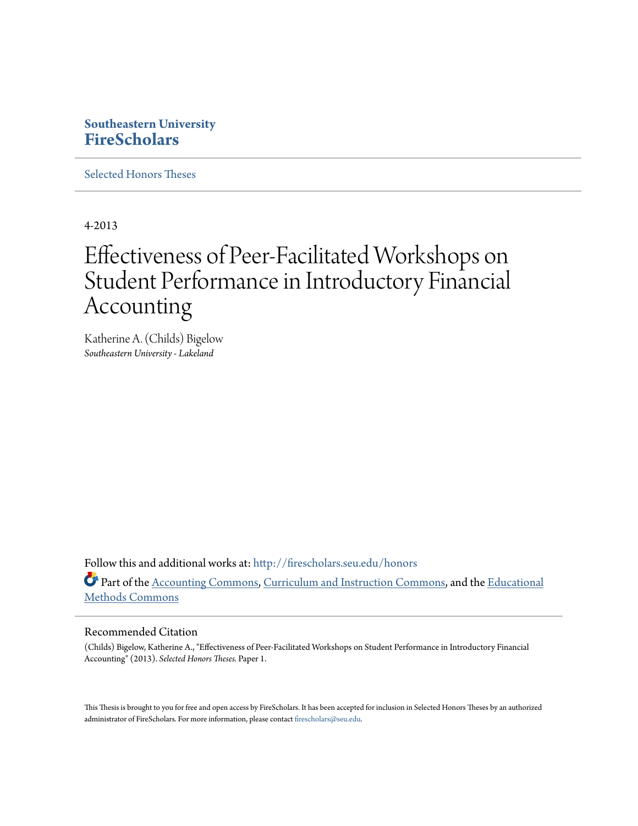# **Southeastern University [FireScholars](http://firescholars.seu.edu?utm_source=firescholars.seu.edu%2Fhonors%2F1&utm_medium=PDF&utm_campaign=PDFCoverPages)**

[Selected Honors Theses](http://firescholars.seu.edu/honors?utm_source=firescholars.seu.edu%2Fhonors%2F1&utm_medium=PDF&utm_campaign=PDFCoverPages)

4-2013

# Effectiveness of Peer-Facilitated Workshops on Student Performance in Introductory Financial Accounting

Katherine A. (Childs) Bigelow *Southeastern University - Lakeland*

Follow this and additional works at: [http://firescholars.seu.edu/honors](http://firescholars.seu.edu/honors?utm_source=firescholars.seu.edu%2Fhonors%2F1&utm_medium=PDF&utm_campaign=PDFCoverPages) Part of the [Accounting Commons](http://network.bepress.com/hgg/discipline/625?utm_source=firescholars.seu.edu%2Fhonors%2F1&utm_medium=PDF&utm_campaign=PDFCoverPages), [Curriculum and Instruction Commons](http://network.bepress.com/hgg/discipline/786?utm_source=firescholars.seu.edu%2Fhonors%2F1&utm_medium=PDF&utm_campaign=PDFCoverPages), and the [Educational](http://network.bepress.com/hgg/discipline/1227?utm_source=firescholars.seu.edu%2Fhonors%2F1&utm_medium=PDF&utm_campaign=PDFCoverPages) [Methods Commons](http://network.bepress.com/hgg/discipline/1227?utm_source=firescholars.seu.edu%2Fhonors%2F1&utm_medium=PDF&utm_campaign=PDFCoverPages)

#### Recommended Citation

(Childs) Bigelow, Katherine A., "Effectiveness of Peer-Facilitated Workshops on Student Performance in Introductory Financial Accounting" (2013). *Selected Honors Theses.* Paper 1.

This Thesis is brought to you for free and open access by FireScholars. It has been accepted for inclusion in Selected Honors Theses by an authorized administrator of FireScholars. For more information, please contact [firescholars@seu.edu](mailto:firescholars@seu.edu).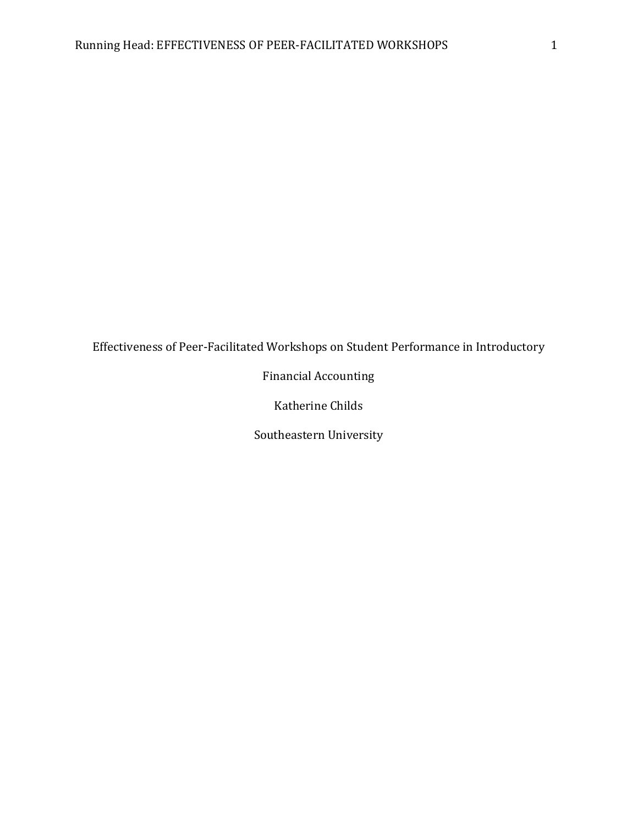# Effectiveness of Peer-Facilitated Workshops on Student Performance in Introductory

Financial Accounting

Katherine Childs

Southeastern University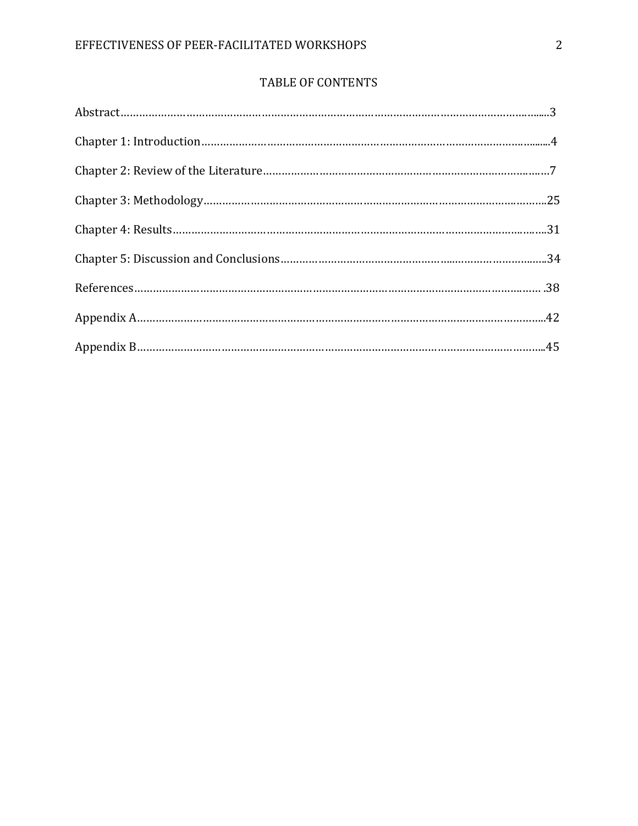# TABLE OF CONTENTS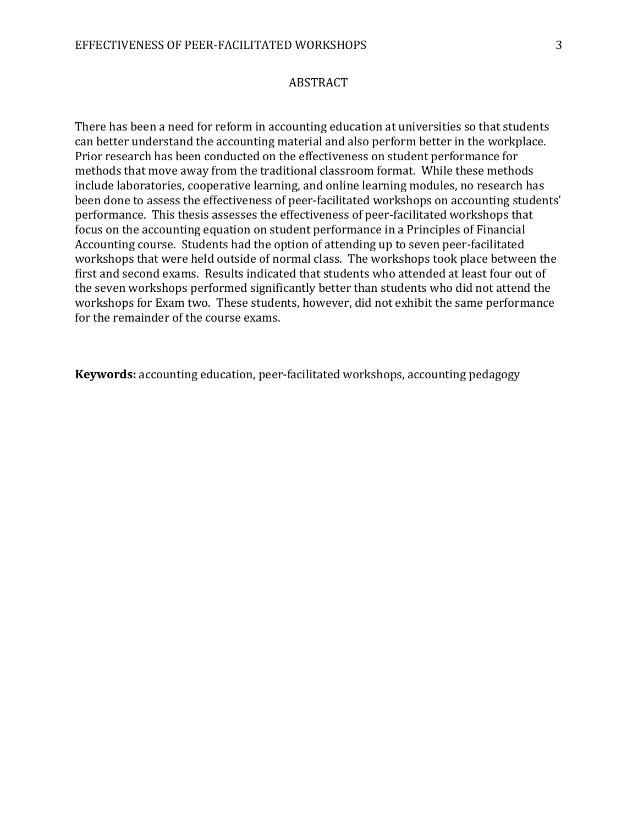#### ABSTRACT

There has been a need for reform in accounting education at universities so that students can better understand the accounting material and also perform better in the workplace. Prior research has been conducted on the effectiveness on student performance for methods that move away from the traditional classroom format. While these methods include laboratories, cooperative learning, and online learning modules, no research has been done to assess the effectiveness of peer-facilitated workshops on accounting students' performance. This thesis assesses the effectiveness of peer-facilitated workshops that focus on the accounting equation on student performance in a Principles of Financial Accounting course. Students had the option of attending up to seven peer-facilitated workshops that were held outside of normal class. The workshops took place between the first and second exams. Results indicated that students who attended at least four out of the seven workshops performed significantly better than students who did not attend the workshops for Exam two. These students, however, did not exhibit the same performance for the remainder of the course exams.

Keywords: accounting education, peer-facilitated workshops, accounting pedagogy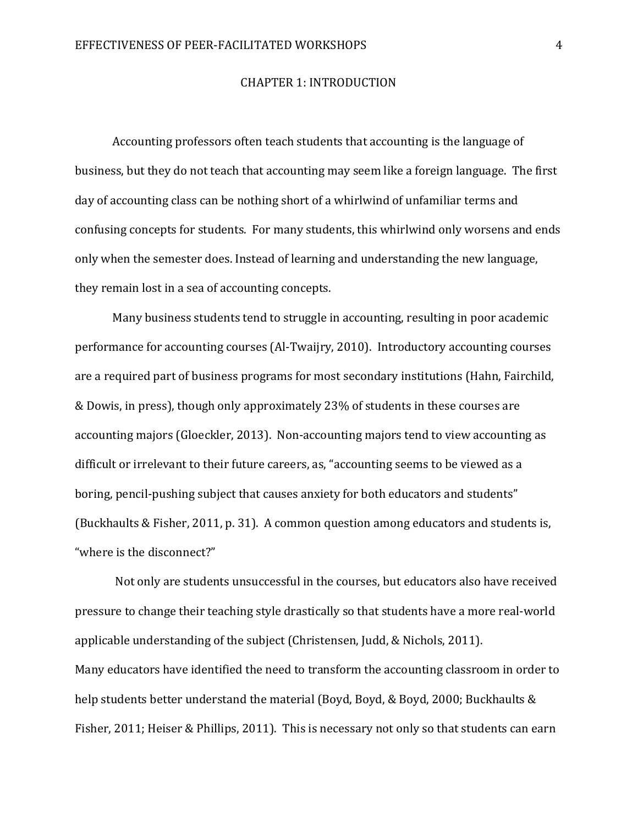#### CHAPTER 1: INTRODUCTION

Accounting professors often teach students that accounting is the language of business, but they do not teach that accounting may seem like a foreign language. The first day of accounting class can be nothing short of a whirlwind of unfamiliar terms and confusing concepts for students. For many students, this whirlwind only worsens and ends only when the semester does. Instead of learning and understanding the new language, they remain lost in a sea of accounting concepts.

Many business students tend to struggle in accounting, resulting in poor academic performance for accounting courses (Al-Twaijry, 2010). Introductory accounting courses are a required part of business programs for most secondary institutions (Hahn, Fairchild, & Dowis, in press), though only approximately 23% of students in these courses are accounting majors (Gloeckler, 2013). Non-accounting majors tend to view accounting as difficult or irrelevant to their future careers, as, "accounting seems to be viewed as a boring, pencil-pushing subject that causes anxiety for both educators and students" (Buckhaults & Fisher, 2011, p. 31). A common question among educators and students is, "where is the disconnect?"

 Not only are students unsuccessful in the courses, but educators also have received pressure to change their teaching style drastically so that students have a more real-world applicable understanding of the subject (Christensen, Judd, & Nichols, 2011). Many educators have identified the need to transform the accounting classroom in order to help students better understand the material (Boyd, Boyd, & Boyd, 2000; Buckhaults & Fisher, 2011; Heiser & Phillips, 2011). This is necessary not only so that students can earn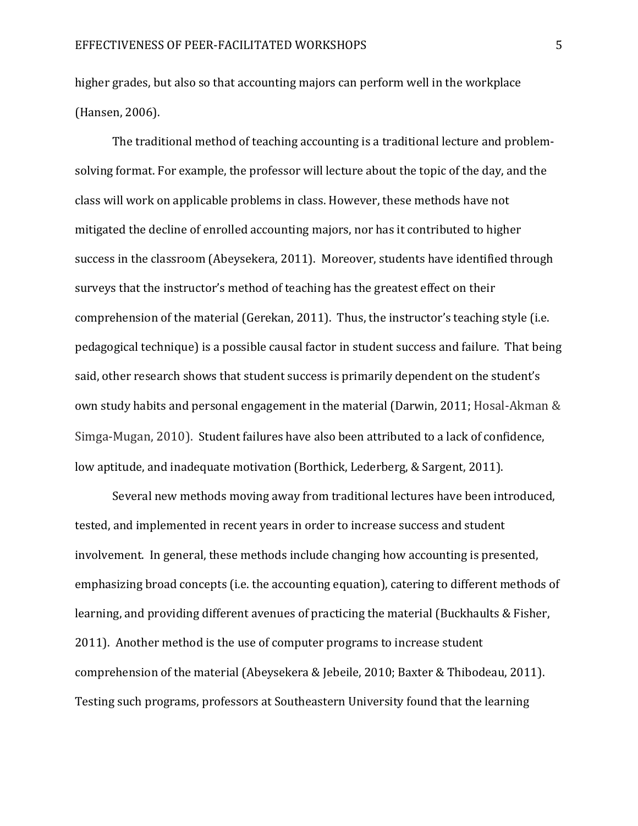higher grades, but also so that accounting majors can perform well in the workplace (Hansen, 2006).

The traditional method of teaching accounting is a traditional lecture and problemsolving format. For example, the professor will lecture about the topic of the day, and the class will work on applicable problems in class. However, these methods have not mitigated the decline of enrolled accounting majors, nor has it contributed to higher success in the classroom (Abeysekera, 2011). Moreover, students have identified through surveys that the instructor's method of teaching has the greatest effect on their comprehension of the material (Gerekan, 2011). Thus, the instructor's teaching style (i.e. pedagogical technique) is a possible causal factor in student success and failure. That being said, other research shows that student success is primarily dependent on the student's own study habits and personal engagement in the material (Darwin, 2011; Hosal-Akman & Simga-Mugan, 2010). Student failures have also been attributed to a lack of confidence, low aptitude, and inadequate motivation (Borthick, Lederberg, & Sargent, 2011).

Several new methods moving away from traditional lectures have been introduced, tested, and implemented in recent years in order to increase success and student involvement. In general, these methods include changing how accounting is presented, emphasizing broad concepts (i.e. the accounting equation), catering to different methods of learning, and providing different avenues of practicing the material (Buckhaults & Fisher, 2011). Another method is the use of computer programs to increase student comprehension of the material (Abeysekera & Jebeile, 2010; Baxter & Thibodeau, 2011). Testing such programs, professors at Southeastern University found that the learning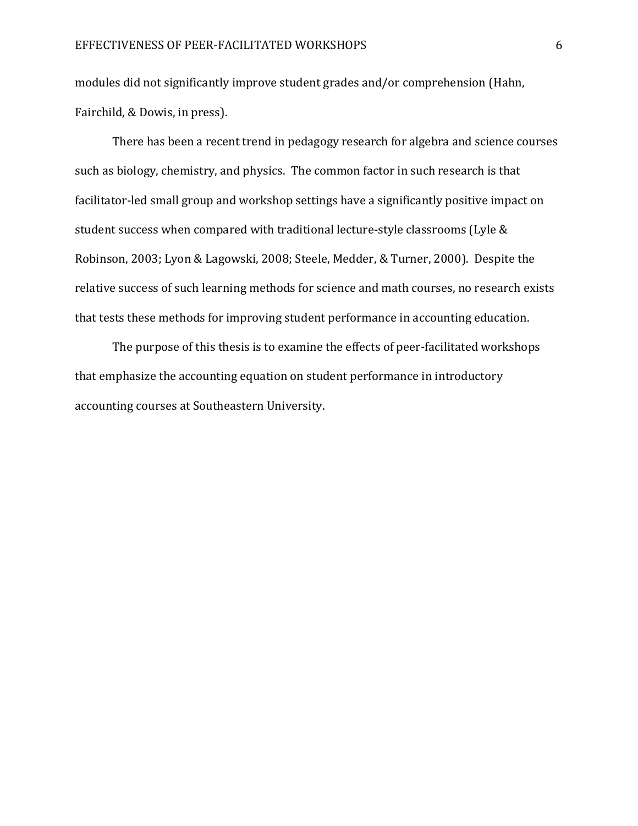modules did not significantly improve student grades and/or comprehension (Hahn, Fairchild, & Dowis, in press).

There has been a recent trend in pedagogy research for algebra and science courses such as biology, chemistry, and physics. The common factor in such research is that facilitator-led small group and workshop settings have a significantly positive impact on student success when compared with traditional lecture-style classrooms (Lyle & Robinson, 2003; Lyon & Lagowski, 2008; Steele, Medder, & Turner, 2000). Despite the relative success of such learning methods for science and math courses, no research exists that tests these methods for improving student performance in accounting education.

The purpose of this thesis is to examine the effects of peer-facilitated workshops that emphasize the accounting equation on student performance in introductory accounting courses at Southeastern University.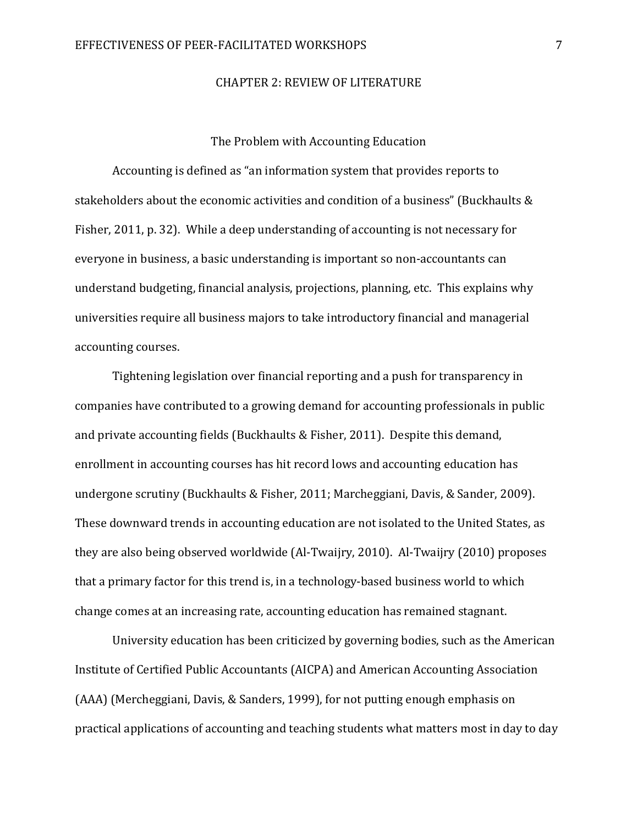#### CHAPTER 2: REVIEW OF LITERATURE

#### The Problem with Accounting Education

Accounting is defined as "an information system that provides reports to stakeholders about the economic activities and condition of a business" (Buckhaults & Fisher, 2011, p. 32). While a deep understanding of accounting is not necessary for everyone in business, a basic understanding is important so non-accountants can understand budgeting, financial analysis, projections, planning, etc. This explains why universities require all business majors to take introductory financial and managerial accounting courses.

Tightening legislation over financial reporting and a push for transparency in companies have contributed to a growing demand for accounting professionals in public and private accounting fields (Buckhaults & Fisher, 2011). Despite this demand, enrollment in accounting courses has hit record lows and accounting education has undergone scrutiny (Buckhaults & Fisher, 2011; Marcheggiani, Davis, & Sander, 2009). These downward trends in accounting education are not isolated to the United States, as they are also being observed worldwide (Al-Twaijry, 2010). Al-Twaijry (2010) proposes that a primary factor for this trend is, in a technology-based business world to which change comes at an increasing rate, accounting education has remained stagnant.

University education has been criticized by governing bodies, such as the American Institute of Certified Public Accountants (AICPA) and American Accounting Association (AAA) (Mercheggiani, Davis, & Sanders, 1999), for not putting enough emphasis on practical applications of accounting and teaching students what matters most in day to day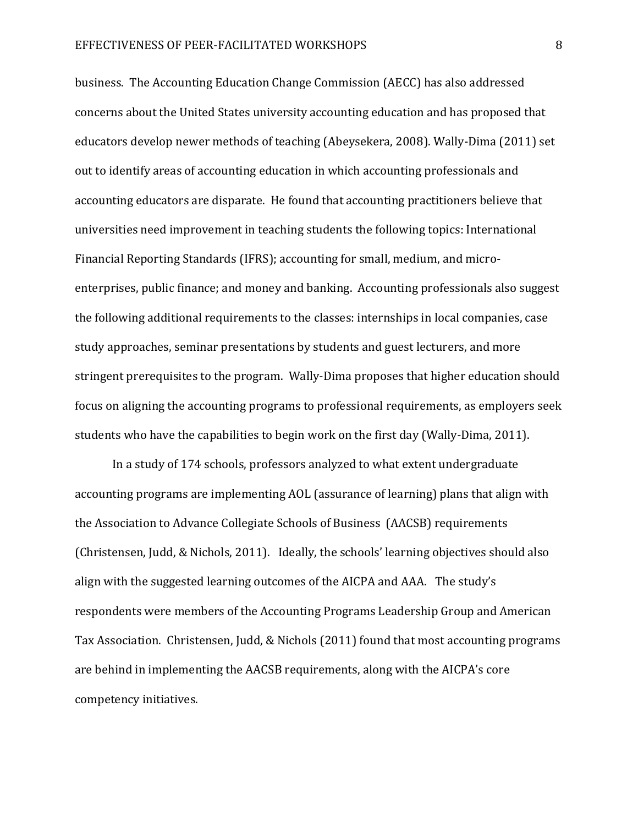business. The Accounting Education Change Commission (AECC) has also addressed concerns about the United States university accounting education and has proposed that educators develop newer methods of teaching (Abeysekera, 2008). Wally-Dima (2011) set out to identify areas of accounting education in which accounting professionals and accounting educators are disparate. He found that accounting practitioners believe that universities need improvement in teaching students the following topics: International Financial Reporting Standards (IFRS); accounting for small, medium, and microenterprises, public finance; and money and banking. Accounting professionals also suggest the following additional requirements to the classes: internships in local companies, case study approaches, seminar presentations by students and guest lecturers, and more stringent prerequisites to the program. Wally-Dima proposes that higher education should focus on aligning the accounting programs to professional requirements, as employers seek students who have the capabilities to begin work on the first day (Wally-Dima, 2011).

In a study of 174 schools, professors analyzed to what extent undergraduate accounting programs are implementing AOL (assurance of learning) plans that align with the Association to Advance Collegiate Schools of Business (AACSB) requirements (Christensen, Judd, & Nichols, 2011). Ideally, the schools' learning objectives should also align with the suggested learning outcomes of the AICPA and AAA. The study's respondents were members of the Accounting Programs Leadership Group and American Tax Association. Christensen, Judd, & Nichols (2011) found that most accounting programs are behind in implementing the AACSB requirements, along with the AICPA's core competency initiatives.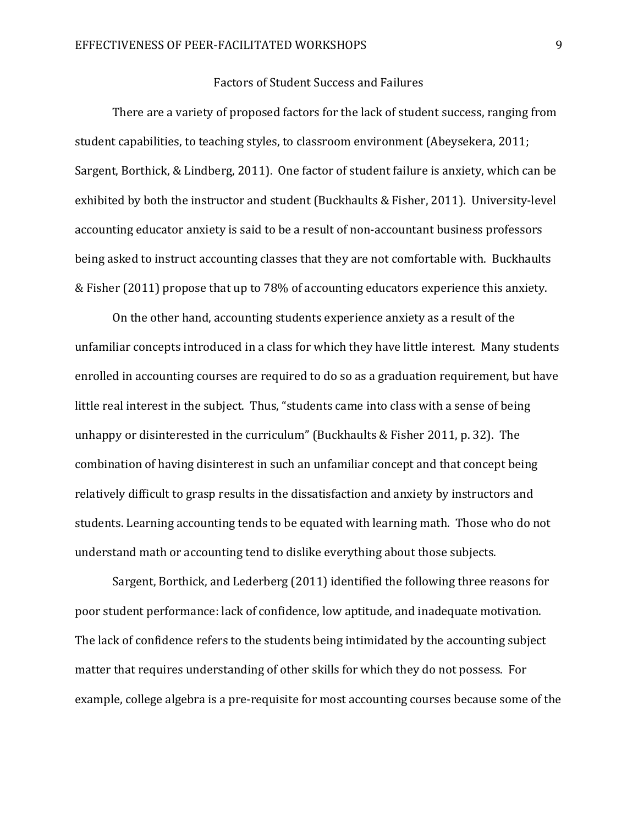#### Factors of Student Success and Failures

There are a variety of proposed factors for the lack of student success, ranging from student capabilities, to teaching styles, to classroom environment (Abeysekera, 2011; Sargent, Borthick, & Lindberg, 2011). One factor of student failure is anxiety, which can be exhibited by both the instructor and student (Buckhaults & Fisher, 2011). University-level accounting educator anxiety is said to be a result of non-accountant business professors being asked to instruct accounting classes that they are not comfortable with. Buckhaults & Fisher (2011) propose that up to 78% of accounting educators experience this anxiety.

On the other hand, accounting students experience anxiety as a result of the unfamiliar concepts introduced in a class for which they have little interest. Many students enrolled in accounting courses are required to do so as a graduation requirement, but have little real interest in the subject. Thus, "students came into class with a sense of being unhappy or disinterested in the curriculum" (Buckhaults & Fisher 2011, p. 32). The combination of having disinterest in such an unfamiliar concept and that concept being relatively difficult to grasp results in the dissatisfaction and anxiety by instructors and students. Learning accounting tends to be equated with learning math. Those who do not understand math or accounting tend to dislike everything about those subjects.

 Sargent, Borthick, and Lederberg (2011) identified the following three reasons for poor student performance: lack of confidence, low aptitude, and inadequate motivation. The lack of confidence refers to the students being intimidated by the accounting subject matter that requires understanding of other skills for which they do not possess. For example, college algebra is a pre-requisite for most accounting courses because some of the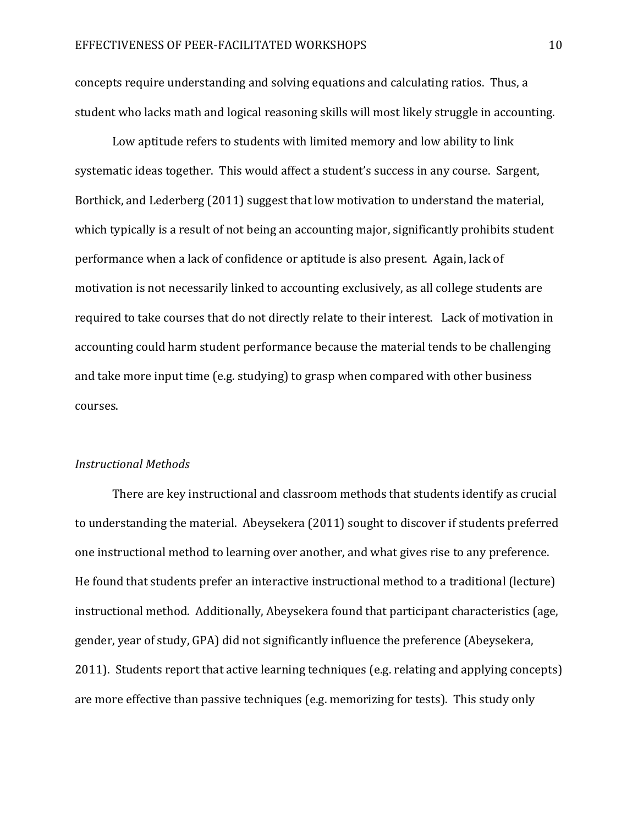concepts require understanding and solving equations and calculating ratios. Thus, a student who lacks math and logical reasoning skills will most likely struggle in accounting.

Low aptitude refers to students with limited memory and low ability to link systematic ideas together. This would affect a student's success in any course. Sargent, Borthick, and Lederberg (2011) suggest that low motivation to understand the material, which typically is a result of not being an accounting major, significantly prohibits student performance when a lack of confidence or aptitude is also present. Again, lack of motivation is not necessarily linked to accounting exclusively, as all college students are required to take courses that do not directly relate to their interest. Lack of motivation in accounting could harm student performance because the material tends to be challenging and take more input time (e.g. studying) to grasp when compared with other business courses.

#### Instructional Methods

There are key instructional and classroom methods that students identify as crucial to understanding the material. Abeysekera (2011) sought to discover if students preferred one instructional method to learning over another, and what gives rise to any preference. He found that students prefer an interactive instructional method to a traditional (lecture) instructional method. Additionally, Abeysekera found that participant characteristics (age, gender, year of study, GPA) did not significantly influence the preference (Abeysekera, 2011). Students report that active learning techniques (e.g. relating and applying concepts) are more effective than passive techniques (e.g. memorizing for tests). This study only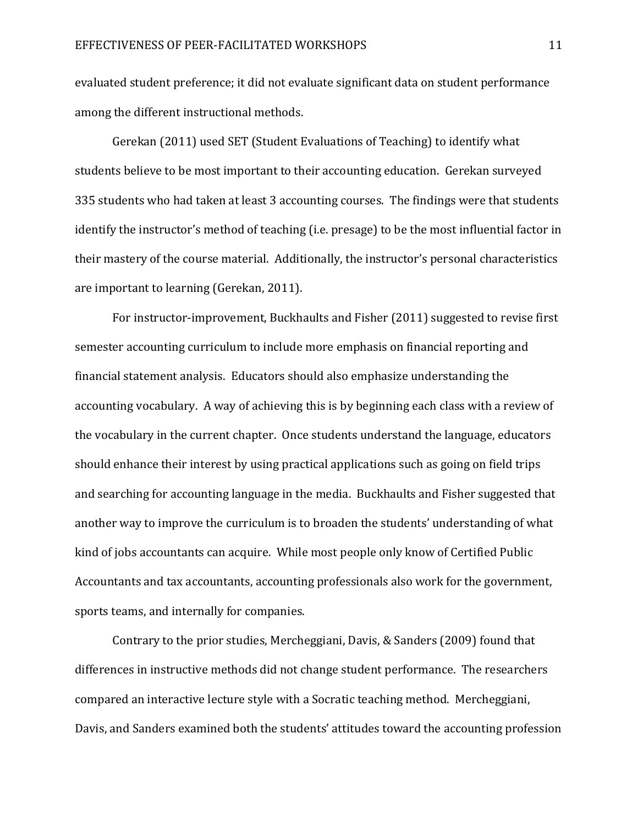evaluated student preference; it did not evaluate significant data on student performance among the different instructional methods.

Gerekan (2011) used SET (Student Evaluations of Teaching) to identify what students believe to be most important to their accounting education. Gerekan surveyed 335 students who had taken at least 3 accounting courses. The findings were that students identify the instructor's method of teaching (i.e. presage) to be the most influential factor in their mastery of the course material. Additionally, the instructor's personal characteristics are important to learning (Gerekan, 2011).

 For instructor-improvement, Buckhaults and Fisher (2011) suggested to revise first semester accounting curriculum to include more emphasis on financial reporting and financial statement analysis. Educators should also emphasize understanding the accounting vocabulary. A way of achieving this is by beginning each class with a review of the vocabulary in the current chapter. Once students understand the language, educators should enhance their interest by using practical applications such as going on field trips and searching for accounting language in the media. Buckhaults and Fisher suggested that another way to improve the curriculum is to broaden the students' understanding of what kind of jobs accountants can acquire. While most people only know of Certified Public Accountants and tax accountants, accounting professionals also work for the government, sports teams, and internally for companies.

Contrary to the prior studies, Mercheggiani, Davis, & Sanders (2009) found that differences in instructive methods did not change student performance. The researchers compared an interactive lecture style with a Socratic teaching method. Mercheggiani, Davis, and Sanders examined both the students' attitudes toward the accounting profession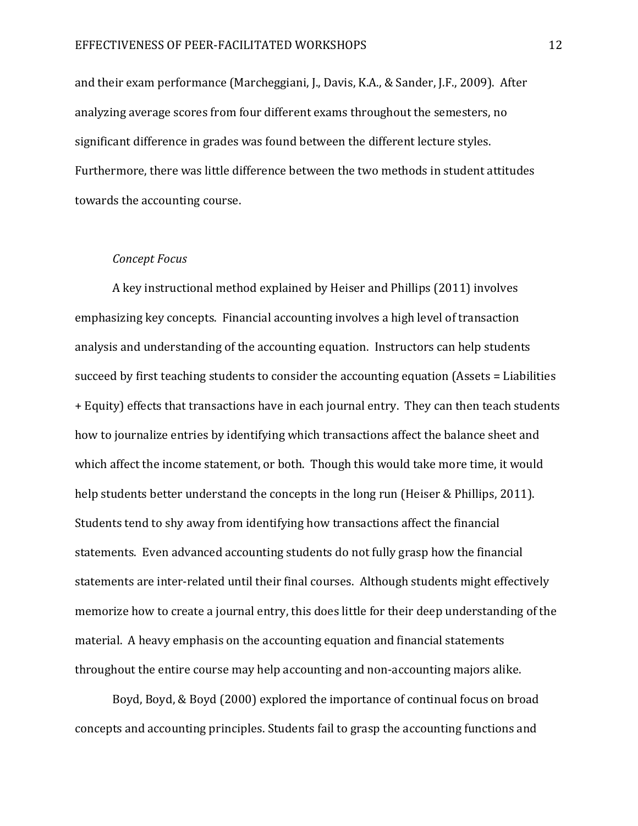and their exam performance (Marcheggiani, J., Davis, K.A., & Sander, J.F., 2009). After analyzing average scores from four different exams throughout the semesters, no significant difference in grades was found between the different lecture styles. Furthermore, there was little difference between the two methods in student attitudes towards the accounting course.

#### Concept Focus

A key instructional method explained by Heiser and Phillips (2011) involves emphasizing key concepts. Financial accounting involves a high level of transaction analysis and understanding of the accounting equation. Instructors can help students succeed by first teaching students to consider the accounting equation (Assets = Liabilities + Equity) effects that transactions have in each journal entry. They can then teach students how to journalize entries by identifying which transactions affect the balance sheet and which affect the income statement, or both. Though this would take more time, it would help students better understand the concepts in the long run (Heiser & Phillips, 2011). Students tend to shy away from identifying how transactions affect the financial statements. Even advanced accounting students do not fully grasp how the financial statements are inter-related until their final courses. Although students might effectively memorize how to create a journal entry, this does little for their deep understanding of the material. A heavy emphasis on the accounting equation and financial statements throughout the entire course may help accounting and non-accounting majors alike.

Boyd, Boyd, & Boyd (2000) explored the importance of continual focus on broad concepts and accounting principles. Students fail to grasp the accounting functions and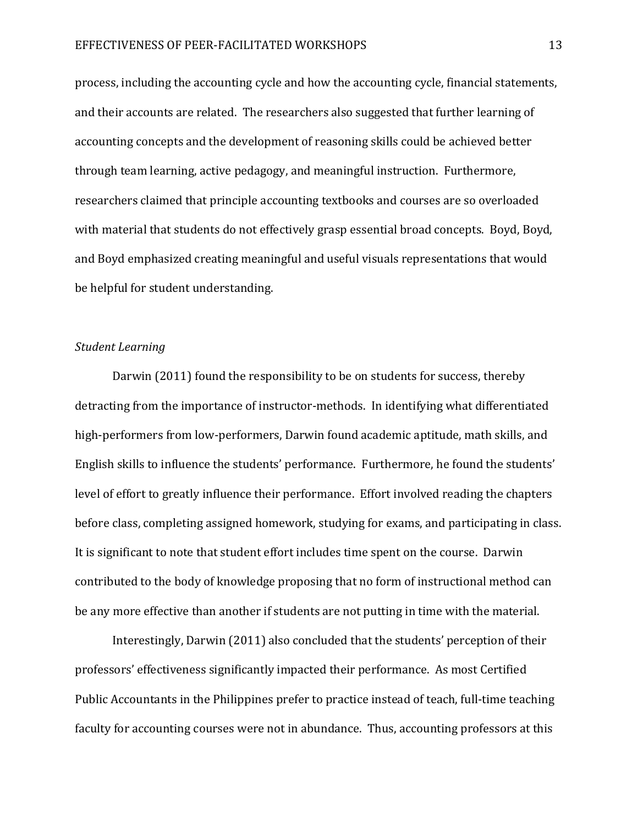process, including the accounting cycle and how the accounting cycle, financial statements, and their accounts are related. The researchers also suggested that further learning of accounting concepts and the development of reasoning skills could be achieved better through team learning, active pedagogy, and meaningful instruction. Furthermore, researchers claimed that principle accounting textbooks and courses are so overloaded with material that students do not effectively grasp essential broad concepts. Boyd, Boyd, and Boyd emphasized creating meaningful and useful visuals representations that would be helpful for student understanding.

#### Student Learning

Darwin (2011) found the responsibility to be on students for success, thereby detracting from the importance of instructor-methods. In identifying what differentiated high-performers from low-performers, Darwin found academic aptitude, math skills, and English skills to influence the students' performance. Furthermore, he found the students' level of effort to greatly influence their performance. Effort involved reading the chapters before class, completing assigned homework, studying for exams, and participating in class. It is significant to note that student effort includes time spent on the course. Darwin contributed to the body of knowledge proposing that no form of instructional method can be any more effective than another if students are not putting in time with the material.

 Interestingly, Darwin (2011) also concluded that the students' perception of their professors' effectiveness significantly impacted their performance. As most Certified Public Accountants in the Philippines prefer to practice instead of teach, full-time teaching faculty for accounting courses were not in abundance. Thus, accounting professors at this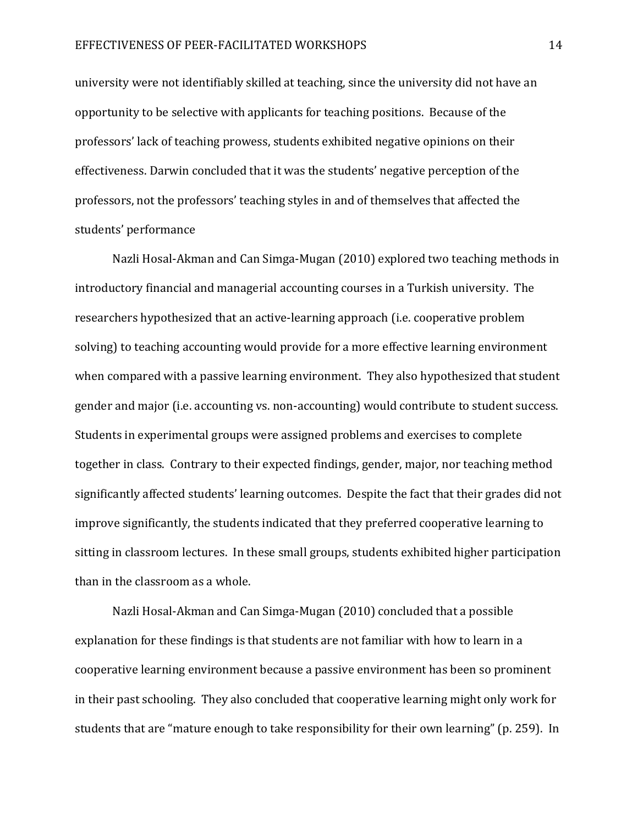university were not identifiably skilled at teaching, since the university did not have an opportunity to be selective with applicants for teaching positions. Because of the professors' lack of teaching prowess, students exhibited negative opinions on their effectiveness. Darwin concluded that it was the students' negative perception of the professors, not the professors' teaching styles in and of themselves that affected the students' performance

Nazli Hosal-Akman and Can Simga-Mugan (2010) explored two teaching methods in introductory financial and managerial accounting courses in a Turkish university. The researchers hypothesized that an active-learning approach (i.e. cooperative problem solving) to teaching accounting would provide for a more effective learning environment when compared with a passive learning environment. They also hypothesized that student gender and major (i.e. accounting vs. non-accounting) would contribute to student success. Students in experimental groups were assigned problems and exercises to complete together in class. Contrary to their expected findings, gender, major, nor teaching method significantly affected students' learning outcomes. Despite the fact that their grades did not improve significantly, the students indicated that they preferred cooperative learning to sitting in classroom lectures. In these small groups, students exhibited higher participation than in the classroom as a whole.

Nazli Hosal-Akman and Can Simga-Mugan (2010) concluded that a possible explanation for these findings is that students are not familiar with how to learn in a cooperative learning environment because a passive environment has been so prominent in their past schooling. They also concluded that cooperative learning might only work for students that are "mature enough to take responsibility for their own learning" (p. 259). In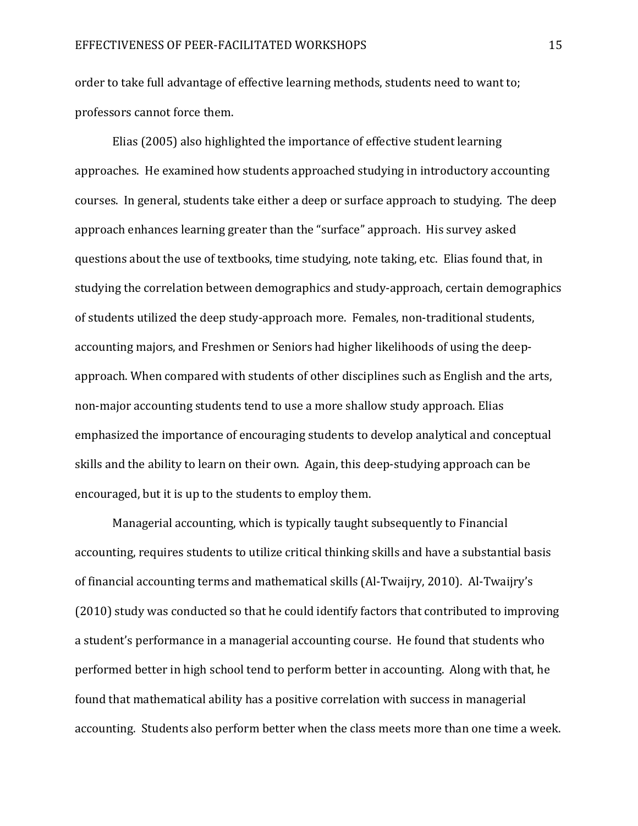order to take full advantage of effective learning methods, students need to want to; professors cannot force them.

Elias (2005) also highlighted the importance of effective student learning approaches. He examined how students approached studying in introductory accounting courses. In general, students take either a deep or surface approach to studying. The deep approach enhances learning greater than the "surface" approach. His survey asked questions about the use of textbooks, time studying, note taking, etc. Elias found that, in studying the correlation between demographics and study-approach, certain demographics of students utilized the deep study-approach more. Females, non-traditional students, accounting majors, and Freshmen or Seniors had higher likelihoods of using the deepapproach. When compared with students of other disciplines such as English and the arts, non-major accounting students tend to use a more shallow study approach. Elias emphasized the importance of encouraging students to develop analytical and conceptual skills and the ability to learn on their own. Again, this deep-studying approach can be encouraged, but it is up to the students to employ them.

Managerial accounting, which is typically taught subsequently to Financial accounting, requires students to utilize critical thinking skills and have a substantial basis of financial accounting terms and mathematical skills (Al-Twaijry, 2010). Al-Twaijry's (2010) study was conducted so that he could identify factors that contributed to improving a student's performance in a managerial accounting course. He found that students who performed better in high school tend to perform better in accounting. Along with that, he found that mathematical ability has a positive correlation with success in managerial accounting. Students also perform better when the class meets more than one time a week.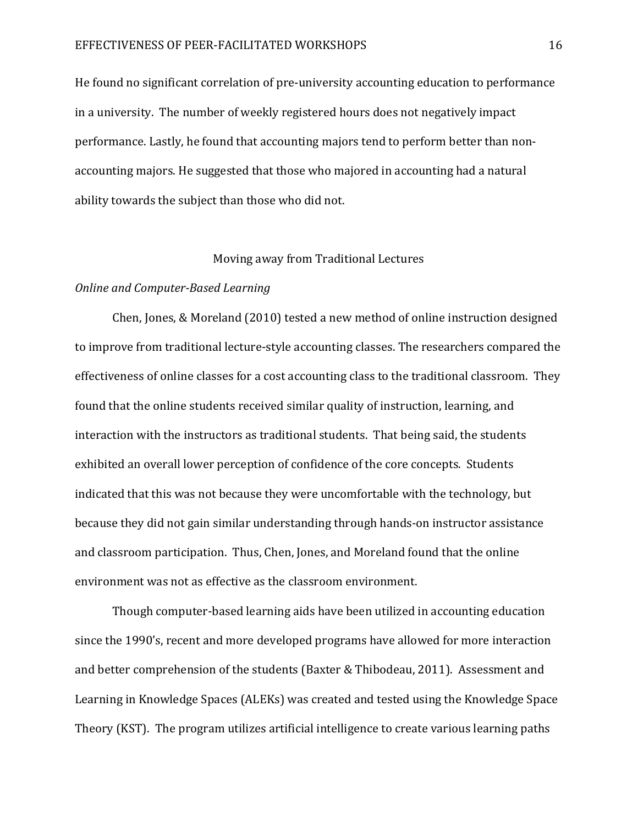He found no significant correlation of pre-university accounting education to performance in a university. The number of weekly registered hours does not negatively impact performance. Lastly, he found that accounting majors tend to perform better than nonaccounting majors. He suggested that those who majored in accounting had a natural ability towards the subject than those who did not.

#### Moving away from Traditional Lectures

#### Online and Computer-Based Learning

Chen, Jones, & Moreland (2010) tested a new method of online instruction designed to improve from traditional lecture-style accounting classes. The researchers compared the effectiveness of online classes for a cost accounting class to the traditional classroom. They found that the online students received similar quality of instruction, learning, and interaction with the instructors as traditional students. That being said, the students exhibited an overall lower perception of confidence of the core concepts. Students indicated that this was not because they were uncomfortable with the technology, but because they did not gain similar understanding through hands-on instructor assistance and classroom participation. Thus, Chen, Jones, and Moreland found that the online environment was not as effective as the classroom environment.

Though computer-based learning aids have been utilized in accounting education since the 1990's, recent and more developed programs have allowed for more interaction and better comprehension of the students (Baxter & Thibodeau, 2011). Assessment and Learning in Knowledge Spaces (ALEKs) was created and tested using the Knowledge Space Theory (KST). The program utilizes artificial intelligence to create various learning paths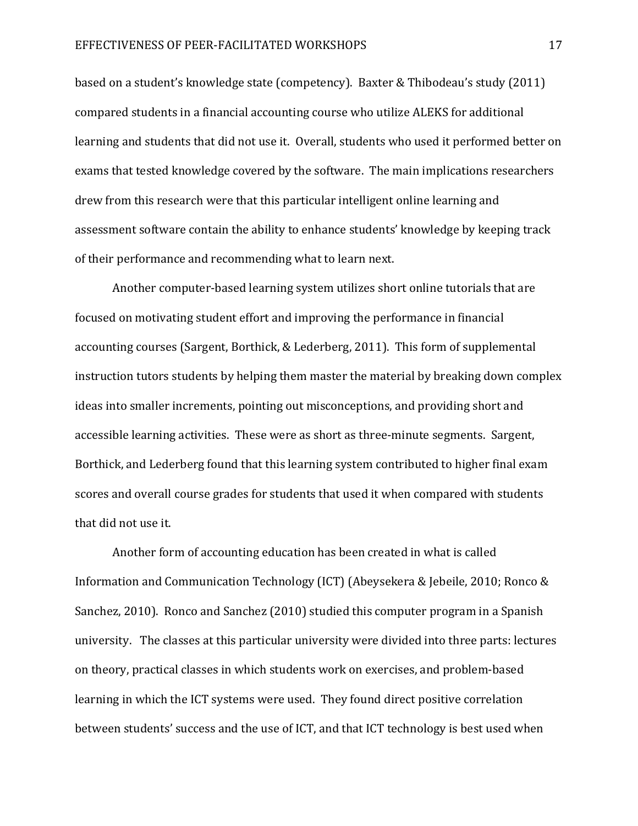based on a student's knowledge state (competency). Baxter & Thibodeau's study (2011) compared students in a financial accounting course who utilize ALEKS for additional learning and students that did not use it. Overall, students who used it performed better on exams that tested knowledge covered by the software. The main implications researchers drew from this research were that this particular intelligent online learning and assessment software contain the ability to enhance students' knowledge by keeping track of their performance and recommending what to learn next.

 Another computer-based learning system utilizes short online tutorials that are focused on motivating student effort and improving the performance in financial accounting courses (Sargent, Borthick, & Lederberg, 2011). This form of supplemental instruction tutors students by helping them master the material by breaking down complex ideas into smaller increments, pointing out misconceptions, and providing short and accessible learning activities. These were as short as three-minute segments. Sargent, Borthick, and Lederberg found that this learning system contributed to higher final exam scores and overall course grades for students that used it when compared with students that did not use it.

Another form of accounting education has been created in what is called Information and Communication Technology (ICT) (Abeysekera & Jebeile, 2010; Ronco & Sanchez, 2010). Ronco and Sanchez (2010) studied this computer program in a Spanish university. The classes at this particular university were divided into three parts: lectures on theory, practical classes in which students work on exercises, and problem-based learning in which the ICT systems were used. They found direct positive correlation between students' success and the use of ICT, and that ICT technology is best used when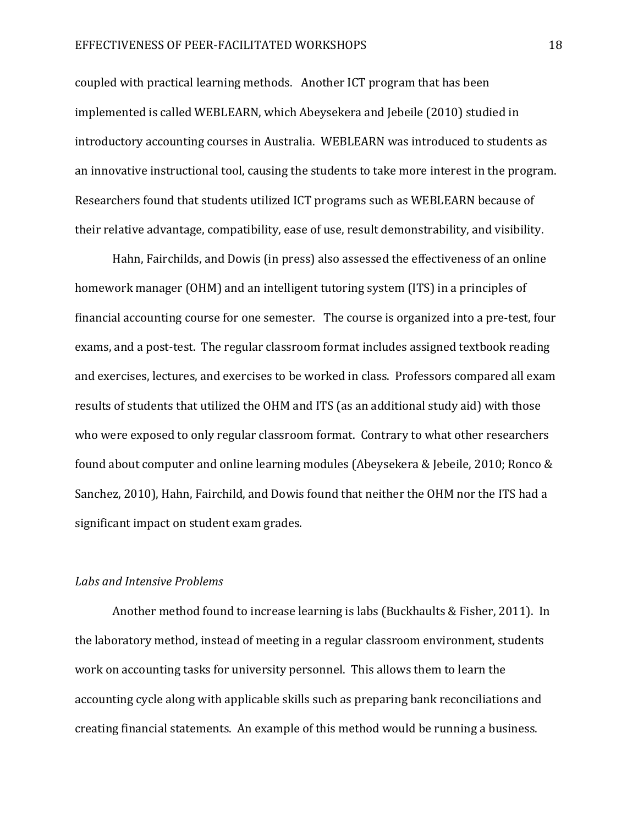#### EFFECTIVENESS OF PEER-FACILITATED WORKSHOPS 18

coupled with practical learning methods. Another ICT program that has been implemented is called WEBLEARN, which Abeysekera and Jebeile (2010) studied in introductory accounting courses in Australia. WEBLEARN was introduced to students as an innovative instructional tool, causing the students to take more interest in the program. Researchers found that students utilized ICT programs such as WEBLEARN because of their relative advantage, compatibility, ease of use, result demonstrability, and visibility.

Hahn, Fairchilds, and Dowis (in press) also assessed the effectiveness of an online homework manager (OHM) and an intelligent tutoring system (ITS) in a principles of financial accounting course for one semester. The course is organized into a pre-test, four exams, and a post-test. The regular classroom format includes assigned textbook reading and exercises, lectures, and exercises to be worked in class. Professors compared all exam results of students that utilized the OHM and ITS (as an additional study aid) with those who were exposed to only regular classroom format. Contrary to what other researchers found about computer and online learning modules (Abeysekera & Jebeile, 2010; Ronco & Sanchez, 2010), Hahn, Fairchild, and Dowis found that neither the OHM nor the ITS had a significant impact on student exam grades.

#### Labs and Intensive Problems

 Another method found to increase learning is labs (Buckhaults & Fisher, 2011). In the laboratory method, instead of meeting in a regular classroom environment, students work on accounting tasks for university personnel. This allows them to learn the accounting cycle along with applicable skills such as preparing bank reconciliations and creating financial statements. An example of this method would be running a business.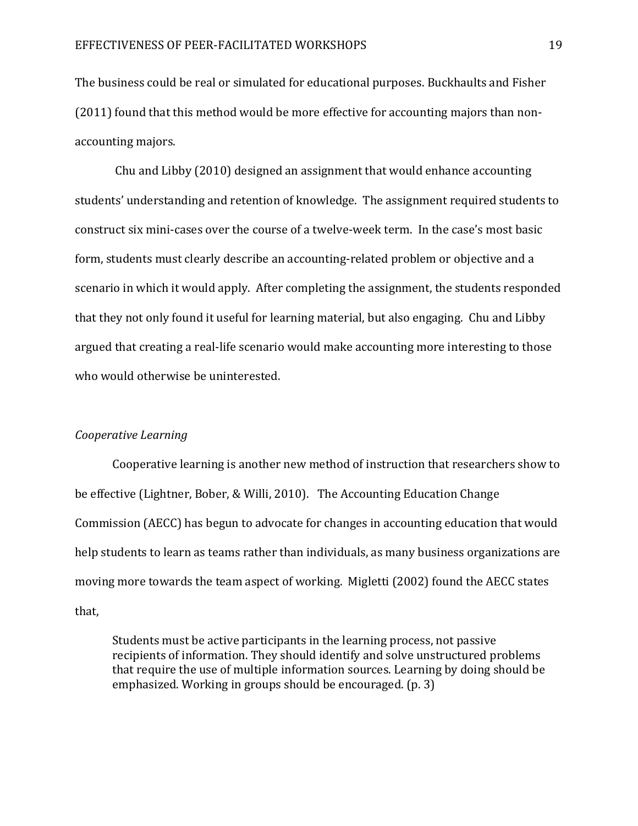The business could be real or simulated for educational purposes. Buckhaults and Fisher (2011) found that this method would be more effective for accounting majors than nonaccounting majors.

 Chu and Libby (2010) designed an assignment that would enhance accounting students' understanding and retention of knowledge. The assignment required students to construct six mini-cases over the course of a twelve-week term. In the case's most basic form, students must clearly describe an accounting-related problem or objective and a scenario in which it would apply. After completing the assignment, the students responded that they not only found it useful for learning material, but also engaging. Chu and Libby argued that creating a real-life scenario would make accounting more interesting to those who would otherwise be uninterested.

#### Cooperative Learning

Cooperative learning is another new method of instruction that researchers show to be effective (Lightner, Bober, & Willi, 2010). The Accounting Education Change Commission (AECC) has begun to advocate for changes in accounting education that would help students to learn as teams rather than individuals, as many business organizations are moving more towards the team aspect of working. Migletti (2002) found the AECC states that,

Students must be active participants in the learning process, not passive recipients of information. They should identify and solve unstructured problems that require the use of multiple information sources. Learning by doing should be emphasized. Working in groups should be encouraged. (p. 3)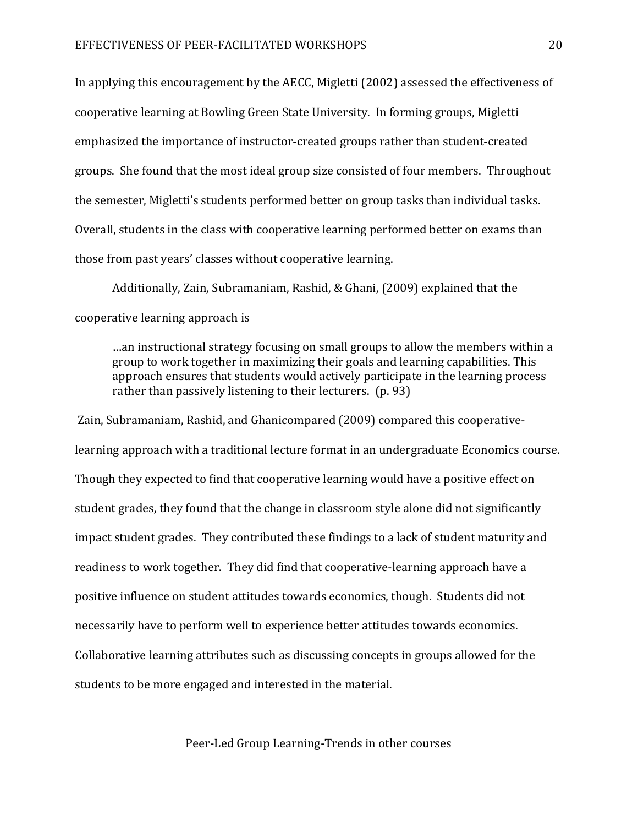In applying this encouragement by the AECC, Migletti (2002) assessed the effectiveness of cooperative learning at Bowling Green State University. In forming groups, Migletti emphasized the importance of instructor-created groups rather than student-created groups. She found that the most ideal group size consisted of four members. Throughout the semester, Migletti's students performed better on group tasks than individual tasks. Overall, students in the class with cooperative learning performed better on exams than those from past years' classes without cooperative learning.

Additionally, Zain, Subramaniam, Rashid, & Ghani, (2009) explained that the cooperative learning approach is

…an instructional strategy focusing on small groups to allow the members within a group to work together in maximizing their goals and learning capabilities. This approach ensures that students would actively participate in the learning process rather than passively listening to their lecturers. (p. 93)

 Zain, Subramaniam, Rashid, and Ghanicompared (2009) compared this cooperativelearning approach with a traditional lecture format in an undergraduate Economics course. Though they expected to find that cooperative learning would have a positive effect on student grades, they found that the change in classroom style alone did not significantly impact student grades. They contributed these findings to a lack of student maturity and readiness to work together. They did find that cooperative-learning approach have a positive influence on student attitudes towards economics, though. Students did not necessarily have to perform well to experience better attitudes towards economics. Collaborative learning attributes such as discussing concepts in groups allowed for the students to be more engaged and interested in the material.

Peer-Led Group Learning-Trends in other courses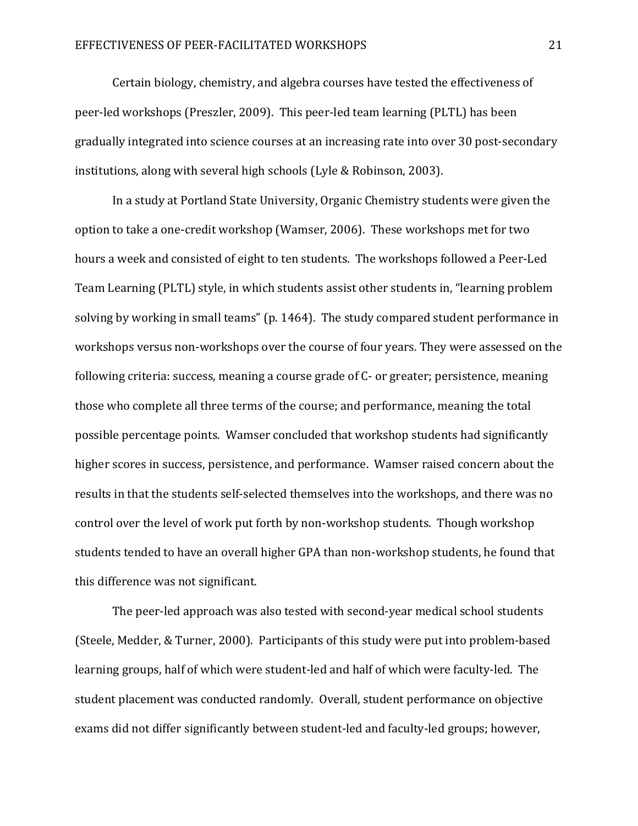Certain biology, chemistry, and algebra courses have tested the effectiveness of peer-led workshops (Preszler, 2009). This peer-led team learning (PLTL) has been gradually integrated into science courses at an increasing rate into over 30 post-secondary institutions, along with several high schools (Lyle & Robinson, 2003).

 In a study at Portland State University, Organic Chemistry students were given the option to take a one-credit workshop (Wamser, 2006). These workshops met for two hours a week and consisted of eight to ten students. The workshops followed a Peer-Led Team Learning (PLTL) style, in which students assist other students in, "learning problem solving by working in small teams" (p. 1464). The study compared student performance in workshops versus non-workshops over the course of four years. They were assessed on the following criteria: success, meaning a course grade of C- or greater; persistence, meaning those who complete all three terms of the course; and performance, meaning the total possible percentage points. Wamser concluded that workshop students had significantly higher scores in success, persistence, and performance. Wamser raised concern about the results in that the students self-selected themselves into the workshops, and there was no control over the level of work put forth by non-workshop students. Though workshop students tended to have an overall higher GPA than non-workshop students, he found that this difference was not significant.

 The peer-led approach was also tested with second-year medical school students (Steele, Medder, & Turner, 2000). Participants of this study were put into problem-based learning groups, half of which were student-led and half of which were faculty-led. The student placement was conducted randomly. Overall, student performance on objective exams did not differ significantly between student-led and faculty-led groups; however,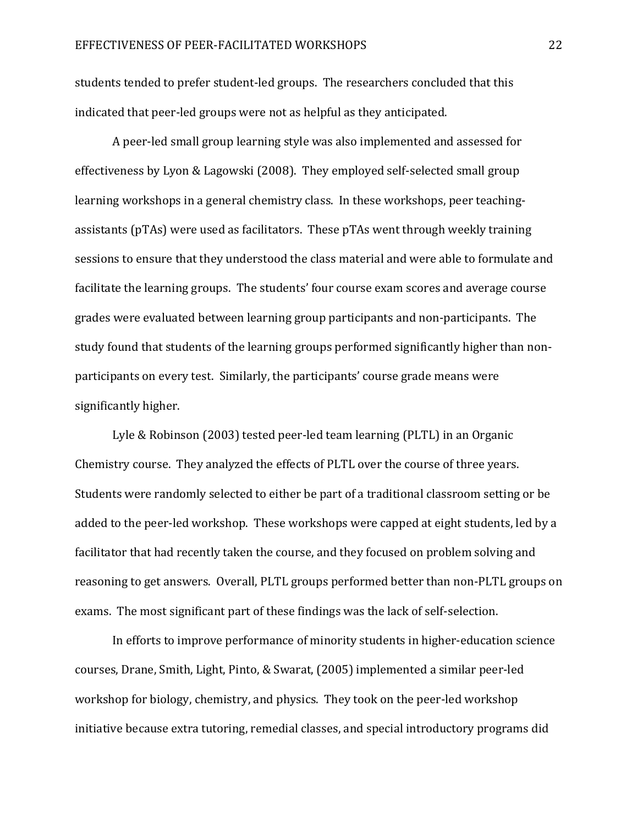students tended to prefer student-led groups. The researchers concluded that this indicated that peer-led groups were not as helpful as they anticipated.

 A peer-led small group learning style was also implemented and assessed for effectiveness by Lyon & Lagowski (2008). They employed self-selected small group learning workshops in a general chemistry class. In these workshops, peer teachingassistants (pTAs) were used as facilitators. These pTAs went through weekly training sessions to ensure that they understood the class material and were able to formulate and facilitate the learning groups. The students' four course exam scores and average course grades were evaluated between learning group participants and non-participants. The study found that students of the learning groups performed significantly higher than nonparticipants on every test. Similarly, the participants' course grade means were significantly higher.

 Lyle & Robinson (2003) tested peer-led team learning (PLTL) in an Organic Chemistry course. They analyzed the effects of PLTL over the course of three years. Students were randomly selected to either be part of a traditional classroom setting or be added to the peer-led workshop. These workshops were capped at eight students, led by a facilitator that had recently taken the course, and they focused on problem solving and reasoning to get answers. Overall, PLTL groups performed better than non-PLTL groups on exams. The most significant part of these findings was the lack of self-selection.

 In efforts to improve performance of minority students in higher-education science courses, Drane, Smith, Light, Pinto, & Swarat, (2005) implemented a similar peer-led workshop for biology, chemistry, and physics. They took on the peer-led workshop initiative because extra tutoring, remedial classes, and special introductory programs did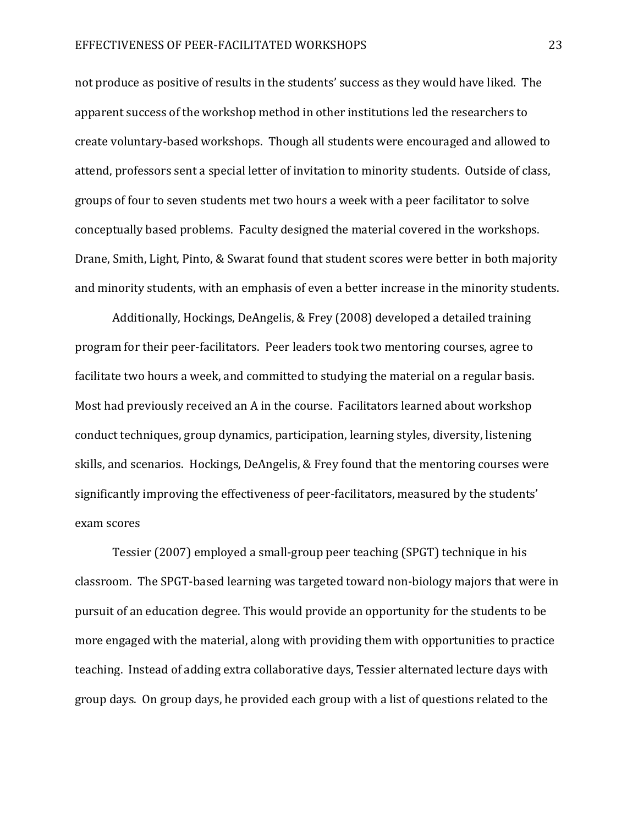not produce as positive of results in the students' success as they would have liked. The apparent success of the workshop method in other institutions led the researchers to create voluntary-based workshops. Though all students were encouraged and allowed to attend, professors sent a special letter of invitation to minority students. Outside of class, groups of four to seven students met two hours a week with a peer facilitator to solve conceptually based problems. Faculty designed the material covered in the workshops. Drane, Smith, Light, Pinto, & Swarat found that student scores were better in both majority and minority students, with an emphasis of even a better increase in the minority students.

 Additionally, Hockings, DeAngelis, & Frey (2008) developed a detailed training program for their peer-facilitators. Peer leaders took two mentoring courses, agree to facilitate two hours a week, and committed to studying the material on a regular basis. Most had previously received an A in the course. Facilitators learned about workshop conduct techniques, group dynamics, participation, learning styles, diversity, listening skills, and scenarios. Hockings, DeAngelis, & Frey found that the mentoring courses were significantly improving the effectiveness of peer-facilitators, measured by the students' exam scores

 Tessier (2007) employed a small-group peer teaching (SPGT) technique in his classroom. The SPGT-based learning was targeted toward non-biology majors that were in pursuit of an education degree. This would provide an opportunity for the students to be more engaged with the material, along with providing them with opportunities to practice teaching. Instead of adding extra collaborative days, Tessier alternated lecture days with group days. On group days, he provided each group with a list of questions related to the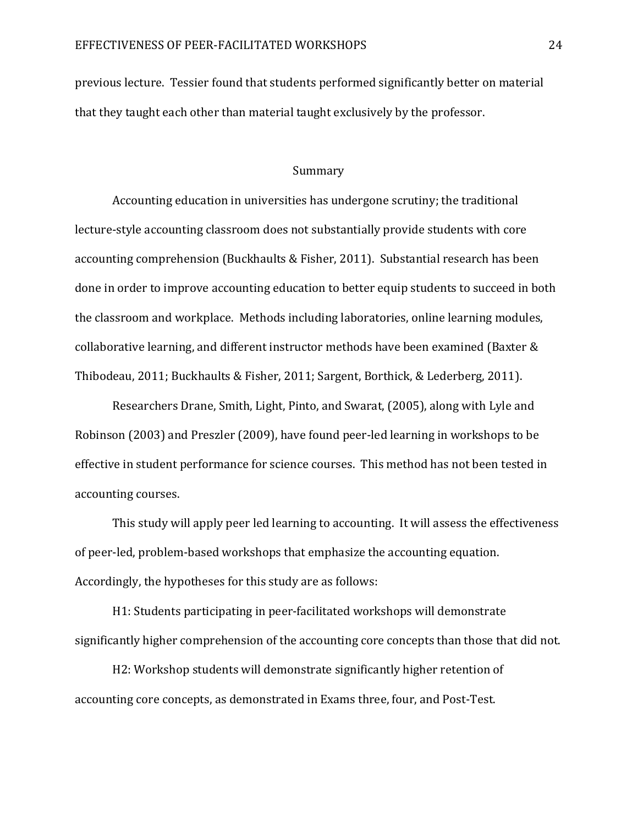previous lecture. Tessier found that students performed significantly better on material that they taught each other than material taught exclusively by the professor.

#### Summary

 Accounting education in universities has undergone scrutiny; the traditional lecture-style accounting classroom does not substantially provide students with core accounting comprehension (Buckhaults & Fisher, 2011). Substantial research has been done in order to improve accounting education to better equip students to succeed in both the classroom and workplace. Methods including laboratories, online learning modules, collaborative learning, and different instructor methods have been examined (Baxter & Thibodeau, 2011; Buckhaults & Fisher, 2011; Sargent, Borthick, & Lederberg, 2011).

Researchers Drane, Smith, Light, Pinto, and Swarat, (2005), along with Lyle and Robinson (2003) and Preszler (2009), have found peer-led learning in workshops to be effective in student performance for science courses. This method has not been tested in accounting courses.

This study will apply peer led learning to accounting. It will assess the effectiveness of peer-led, problem-based workshops that emphasize the accounting equation. Accordingly, the hypotheses for this study are as follows:

H1: Students participating in peer-facilitated workshops will demonstrate significantly higher comprehension of the accounting core concepts than those that did not.

H2: Workshop students will demonstrate significantly higher retention of accounting core concepts, as demonstrated in Exams three, four, and Post-Test.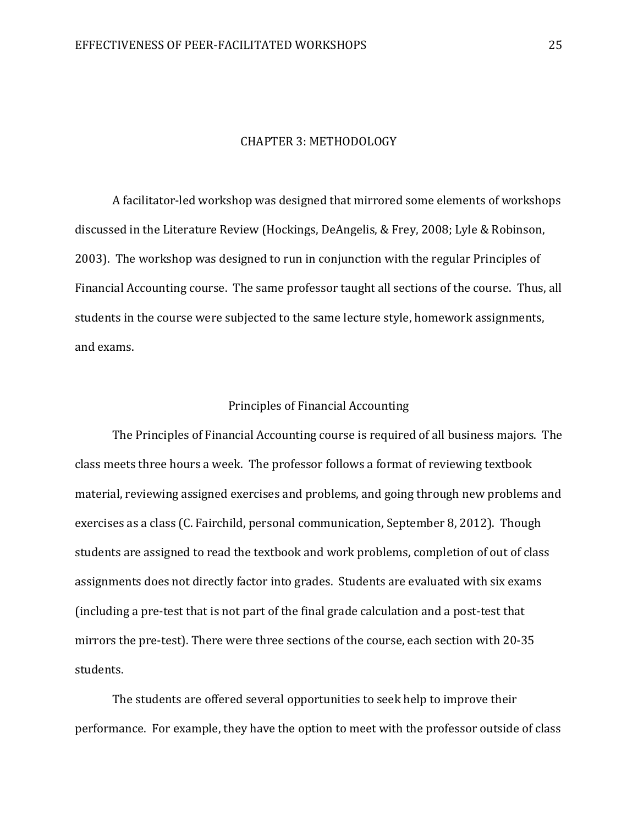#### CHAPTER 3: METHODOLOGY

 A facilitator-led workshop was designed that mirrored some elements of workshops discussed in the Literature Review (Hockings, DeAngelis, & Frey, 2008; Lyle & Robinson, 2003). The workshop was designed to run in conjunction with the regular Principles of Financial Accounting course. The same professor taught all sections of the course. Thus, all students in the course were subjected to the same lecture style, homework assignments, and exams.

#### Principles of Financial Accounting

 The Principles of Financial Accounting course is required of all business majors. The class meets three hours a week. The professor follows a format of reviewing textbook material, reviewing assigned exercises and problems, and going through new problems and exercises as a class (C. Fairchild, personal communication, September 8, 2012). Though students are assigned to read the textbook and work problems, completion of out of class assignments does not directly factor into grades. Students are evaluated with six exams (including a pre-test that is not part of the final grade calculation and a post-test that mirrors the pre-test). There were three sections of the course, each section with 20-35 students.

The students are offered several opportunities to seek help to improve their performance. For example, they have the option to meet with the professor outside of class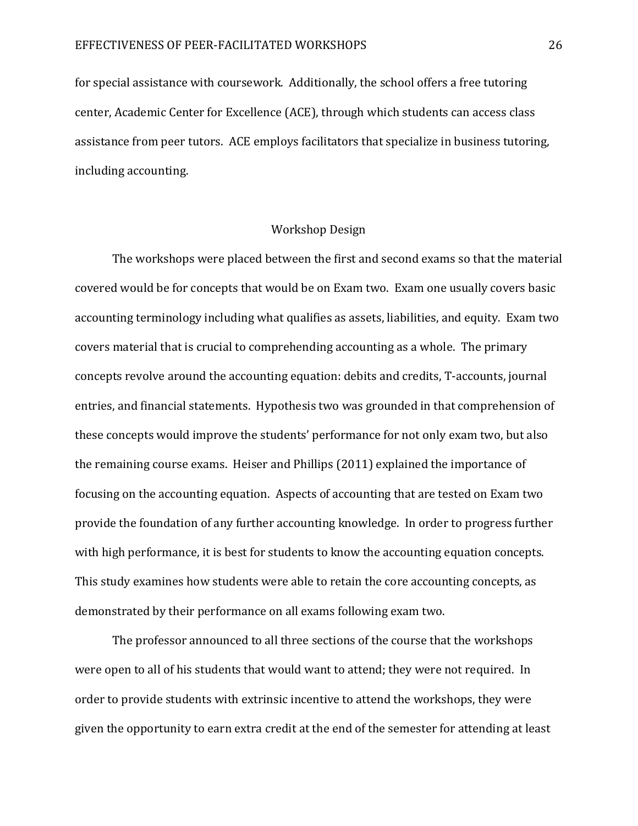for special assistance with coursework. Additionally, the school offers a free tutoring center, Academic Center for Excellence (ACE), through which students can access class assistance from peer tutors. ACE employs facilitators that specialize in business tutoring, including accounting.

#### Workshop Design

The workshops were placed between the first and second exams so that the material covered would be for concepts that would be on Exam two. Exam one usually covers basic accounting terminology including what qualifies as assets, liabilities, and equity. Exam two covers material that is crucial to comprehending accounting as a whole. The primary concepts revolve around the accounting equation: debits and credits, T-accounts, journal entries, and financial statements. Hypothesis two was grounded in that comprehension of these concepts would improve the students' performance for not only exam two, but also the remaining course exams. Heiser and Phillips (2011) explained the importance of focusing on the accounting equation. Aspects of accounting that are tested on Exam two provide the foundation of any further accounting knowledge. In order to progress further with high performance, it is best for students to know the accounting equation concepts. This study examines how students were able to retain the core accounting concepts, as demonstrated by their performance on all exams following exam two.

The professor announced to all three sections of the course that the workshops were open to all of his students that would want to attend; they were not required. In order to provide students with extrinsic incentive to attend the workshops, they were given the opportunity to earn extra credit at the end of the semester for attending at least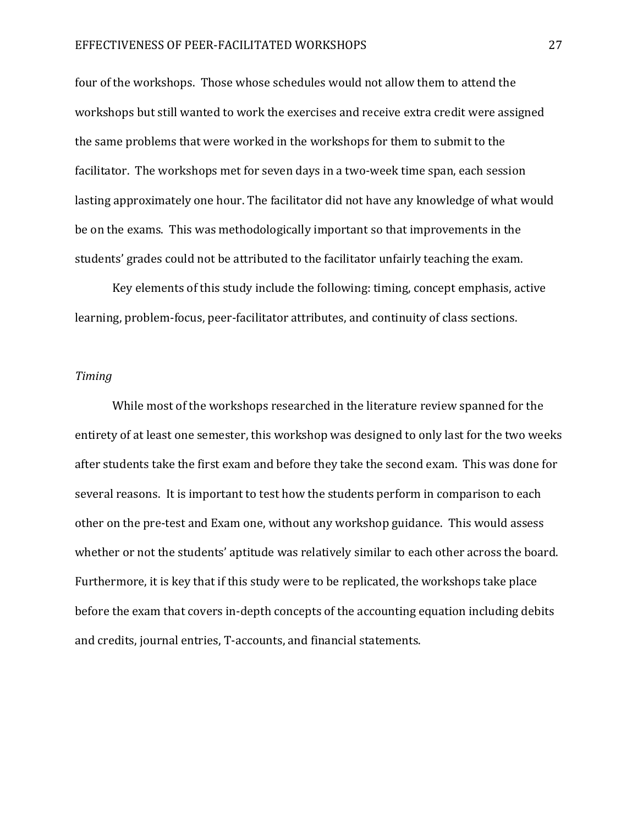#### EFFECTIVENESS OF PEER-FACILITATED WORKSHOPS 27

four of the workshops. Those whose schedules would not allow them to attend the workshops but still wanted to work the exercises and receive extra credit were assigned the same problems that were worked in the workshops for them to submit to the facilitator. The workshops met for seven days in a two-week time span, each session lasting approximately one hour. The facilitator did not have any knowledge of what would be on the exams. This was methodologically important so that improvements in the students' grades could not be attributed to the facilitator unfairly teaching the exam.

 Key elements of this study include the following: timing, concept emphasis, active learning, problem-focus, peer-facilitator attributes, and continuity of class sections.

#### Timing

While most of the workshops researched in the literature review spanned for the entirety of at least one semester, this workshop was designed to only last for the two weeks after students take the first exam and before they take the second exam. This was done for several reasons. It is important to test how the students perform in comparison to each other on the pre-test and Exam one, without any workshop guidance. This would assess whether or not the students' aptitude was relatively similar to each other across the board. Furthermore, it is key that if this study were to be replicated, the workshops take place before the exam that covers in-depth concepts of the accounting equation including debits and credits, journal entries, T-accounts, and financial statements.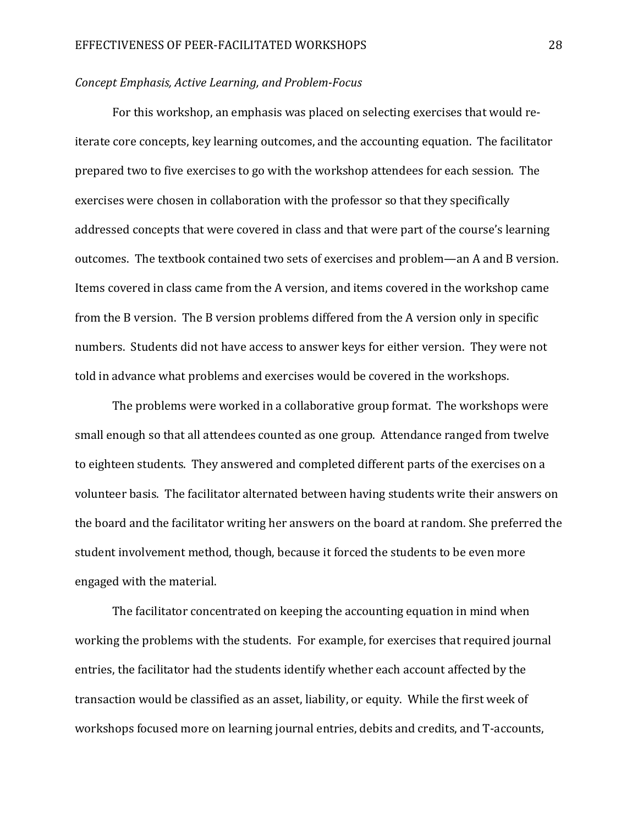#### Concept Emphasis, Active Learning, and Problem-Focus

 For this workshop, an emphasis was placed on selecting exercises that would reiterate core concepts, key learning outcomes, and the accounting equation. The facilitator prepared two to five exercises to go with the workshop attendees for each session. The exercises were chosen in collaboration with the professor so that they specifically addressed concepts that were covered in class and that were part of the course's learning outcomes. The textbook contained two sets of exercises and problem—an A and B version. Items covered in class came from the A version, and items covered in the workshop came from the B version. The B version problems differed from the A version only in specific numbers. Students did not have access to answer keys for either version. They were not told in advance what problems and exercises would be covered in the workshops.

The problems were worked in a collaborative group format. The workshops were small enough so that all attendees counted as one group. Attendance ranged from twelve to eighteen students. They answered and completed different parts of the exercises on a volunteer basis. The facilitator alternated between having students write their answers on the board and the facilitator writing her answers on the board at random. She preferred the student involvement method, though, because it forced the students to be even more engaged with the material.

The facilitator concentrated on keeping the accounting equation in mind when working the problems with the students. For example, for exercises that required journal entries, the facilitator had the students identify whether each account affected by the transaction would be classified as an asset, liability, or equity. While the first week of workshops focused more on learning journal entries, debits and credits, and T-accounts,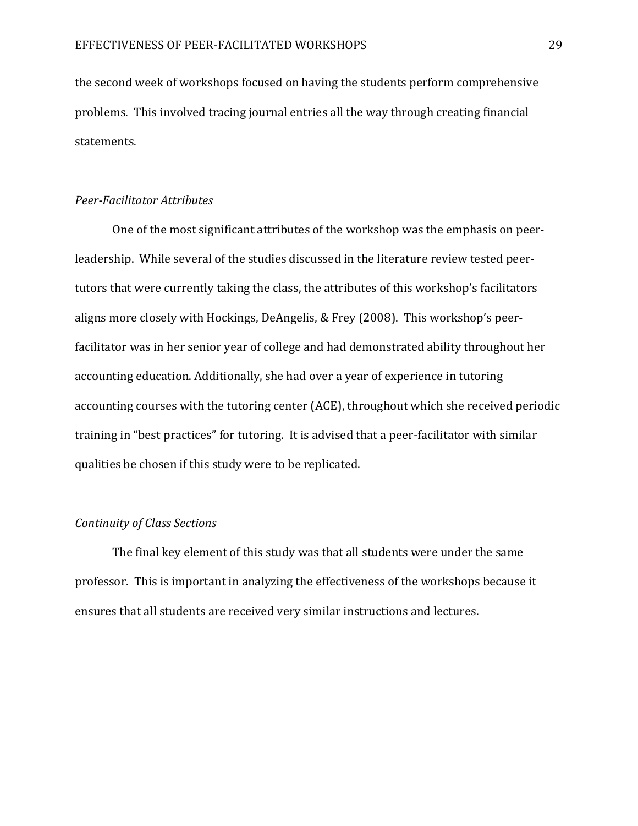the second week of workshops focused on having the students perform comprehensive problems. This involved tracing journal entries all the way through creating financial statements.

#### Peer-Facilitator Attributes

 One of the most significant attributes of the workshop was the emphasis on peerleadership. While several of the studies discussed in the literature review tested peertutors that were currently taking the class, the attributes of this workshop's facilitators aligns more closely with Hockings, DeAngelis, & Frey (2008). This workshop's peerfacilitator was in her senior year of college and had demonstrated ability throughout her accounting education. Additionally, she had over a year of experience in tutoring accounting courses with the tutoring center (ACE), throughout which she received periodic training in "best practices" for tutoring. It is advised that a peer-facilitator with similar qualities be chosen if this study were to be replicated.

#### Continuity of Class Sections

 The final key element of this study was that all students were under the same professor. This is important in analyzing the effectiveness of the workshops because it ensures that all students are received very similar instructions and lectures.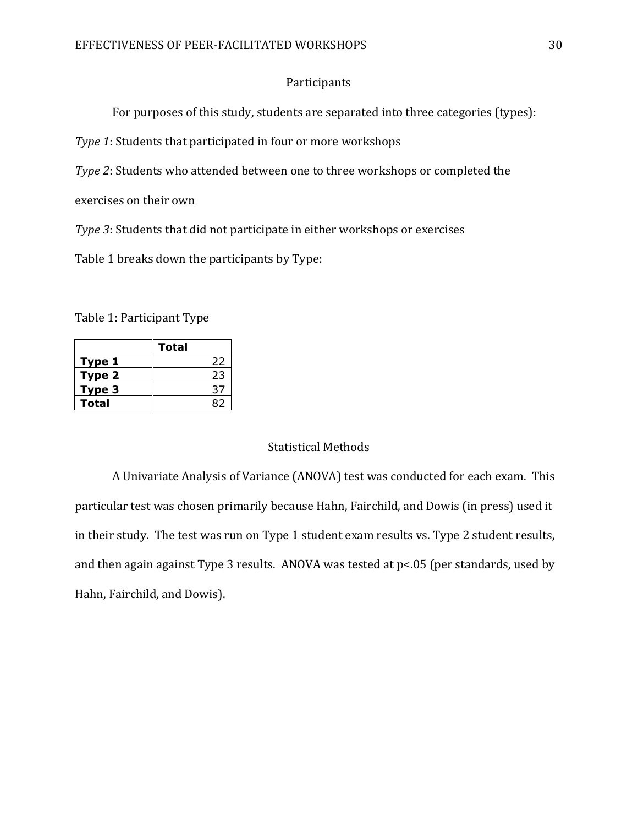#### Participants

For purposes of this study, students are separated into three categories (types):

Type 1: Students that participated in four or more workshops

Type 2: Students who attended between one to three workshops or completed the

exercises on their own

Type 3: Students that did not participate in either workshops or exercises

Table 1 breaks down the participants by Type:

Table 1: Participant Type

|        | Total |
|--------|-------|
| Type 1 | 22    |
| Type 2 | 23    |
| Type 3 | 37    |
| Total  |       |

#### Statistical Methods

A Univariate Analysis of Variance (ANOVA) test was conducted for each exam. This particular test was chosen primarily because Hahn, Fairchild, and Dowis (in press) used it in their study. The test was run on Type 1 student exam results vs. Type 2 student results, and then again against Type 3 results. ANOVA was tested at p<.05 (per standards, used by Hahn, Fairchild, and Dowis).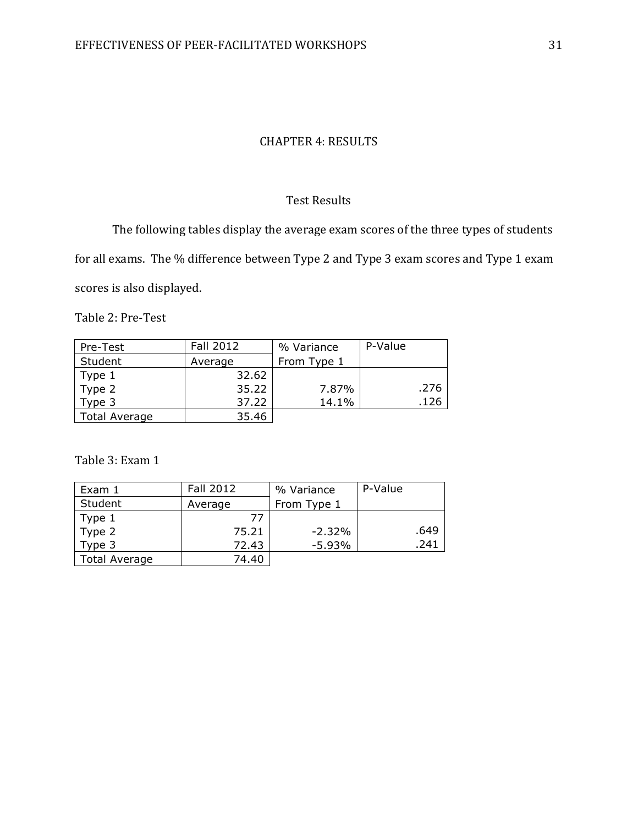#### CHAPTER 4: RESULTS

#### Test Results

The following tables display the average exam scores of the three types of students

for all exams. The % difference between Type 2 and Type 3 exam scores and Type 1 exam

scores is also displayed.

Table 2: Pre-Test

| Pre-Test             | Fall 2012 | % Variance  | P-Value |
|----------------------|-----------|-------------|---------|
| Student              | Average   | From Type 1 |         |
|                      | 32.62     |             |         |
| Type 1<br>Type 2     | 35.22     | 7.87%       | .276    |
| Type 3               | 37.22     | 14.1%       | .126    |
| <b>Total Average</b> | 35.46     |             |         |

Table 3: Exam 1

| Exam 1               | Fall 2012 | % Variance  | P-Value |      |
|----------------------|-----------|-------------|---------|------|
| Student              | Average   | From Type 1 |         |      |
| Type 1               | -77       |             |         |      |
| Type 2               | 75.21     | $-2.32\%$   |         | .649 |
| Type 3               | 72.43     | $-5.93%$    |         | .241 |
| <b>Total Average</b> | 74.40     |             |         |      |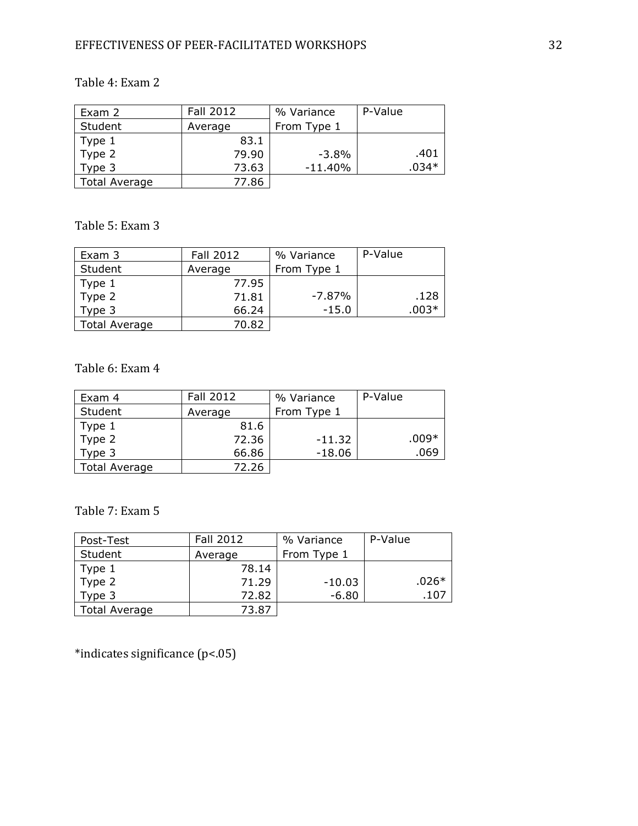# EFFECTIVENESS OF PEER-FACILITATED WORKSHOPS 32

# Table 4: Exam 2

| Exam 2        | Fall 2012 | % Variance  | P-Value |
|---------------|-----------|-------------|---------|
| Student       | Average   | From Type 1 |         |
| Type 1        | 83.1      |             |         |
| Type 2        | 79.90     | $-3.8\%$    | .401    |
| Type 3        | 73.63     | $-11.40%$   | $.034*$ |
| Total Average | 77.86     |             |         |

Table 5: Exam 3

| Exam 3        | Fall 2012 | % Variance  | P-Value |
|---------------|-----------|-------------|---------|
| Student       | Average   | From Type 1 |         |
| Type 1        | 77.95     |             |         |
| Type 2        | 71.81     | $-7.87\%$   | .128    |
| Type 3        | 66.24     | $-15.0$     | $.003*$ |
| Total Average | 70.82     |             |         |

Table 6: Exam 4

| Exam 4        | Fall 2012 | % Variance  | P-Value |
|---------------|-----------|-------------|---------|
| Student       | Average   | From Type 1 |         |
| Type 1        | 81.6      |             |         |
| Type 2        | 72.36     | $-11.32$    | $.009*$ |
| Type 3        | 66.86     | $-18.06$    | .069    |
| Total Average | 72.26     |             |         |

Table 7: Exam 5

| Post-Test            | Fall 2012 | % Variance  | P-Value |
|----------------------|-----------|-------------|---------|
| Student              | Average   | From Type 1 |         |
| Type 1               | 78.14     |             |         |
| Type 2               | 71.29     | $-10.03$    | $.026*$ |
| Type 3               | 72.82     | $-6.80$     | .107    |
| <b>Total Average</b> | 73.87     |             |         |

\*indicates significance (p<.05)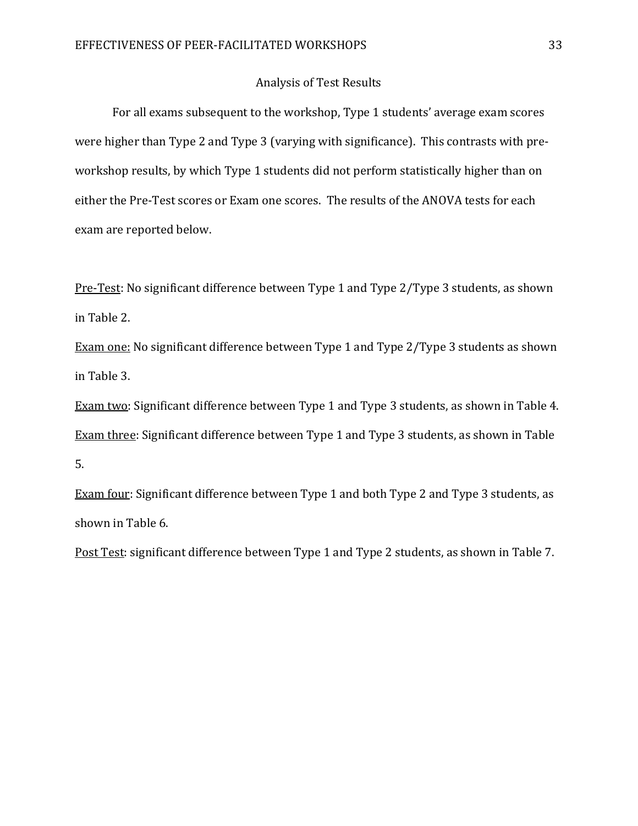#### Analysis of Test Results

 For all exams subsequent to the workshop, Type 1 students' average exam scores were higher than Type 2 and Type 3 (varying with significance). This contrasts with preworkshop results, by which Type 1 students did not perform statistically higher than on either the Pre-Test scores or Exam one scores. The results of the ANOVA tests for each exam are reported below.

Pre-Test: No significant difference between Type 1 and Type 2/Type 3 students, as shown in Table 2.

Exam one: No significant difference between Type 1 and Type 2/Type 3 students as shown in Table 3.

Exam two: Significant difference between Type 1 and Type 3 students, as shown in Table 4. Exam three: Significant difference between Type 1 and Type 3 students, as shown in Table 5.

Exam four: Significant difference between Type 1 and both Type 2 and Type 3 students, as shown in Table 6.

Post Test: significant difference between Type 1 and Type 2 students, as shown in Table 7.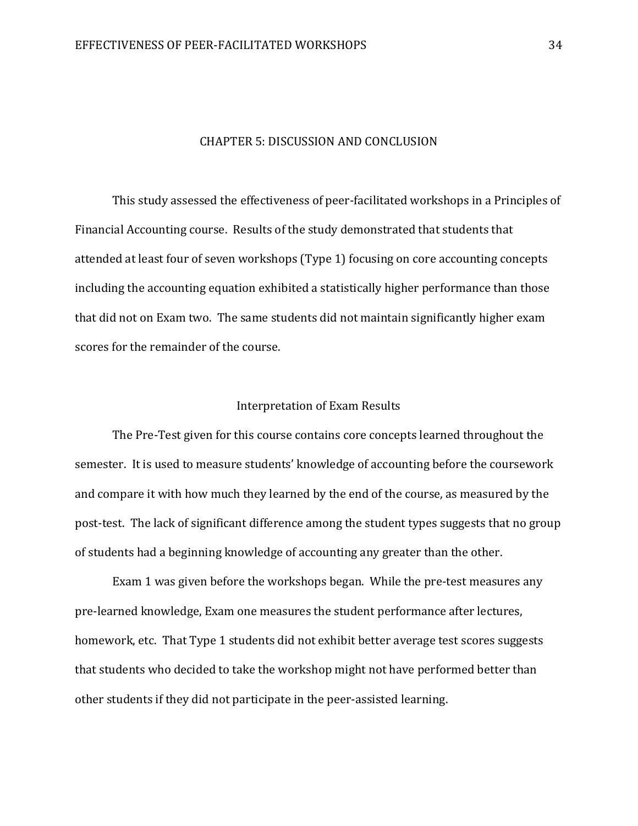#### CHAPTER 5: DISCUSSION AND CONCLUSION

This study assessed the effectiveness of peer-facilitated workshops in a Principles of Financial Accounting course. Results of the study demonstrated that students that attended at least four of seven workshops (Type 1) focusing on core accounting concepts including the accounting equation exhibited a statistically higher performance than those that did not on Exam two. The same students did not maintain significantly higher exam scores for the remainder of the course.

#### Interpretation of Exam Results

The Pre-Test given for this course contains core concepts learned throughout the semester. It is used to measure students' knowledge of accounting before the coursework and compare it with how much they learned by the end of the course, as measured by the post-test. The lack of significant difference among the student types suggests that no group of students had a beginning knowledge of accounting any greater than the other.

 Exam 1 was given before the workshops began. While the pre-test measures any pre-learned knowledge, Exam one measures the student performance after lectures, homework, etc. That Type 1 students did not exhibit better average test scores suggests that students who decided to take the workshop might not have performed better than other students if they did not participate in the peer-assisted learning.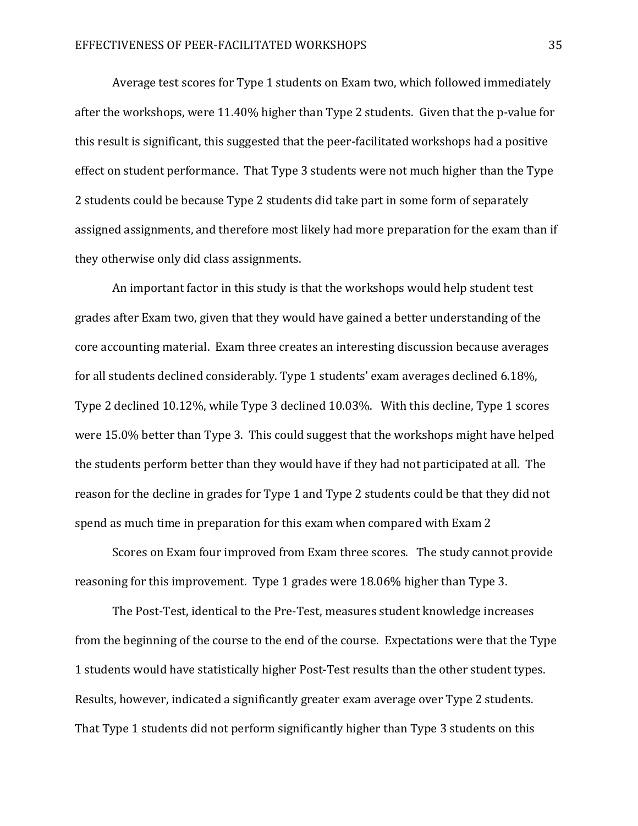Average test scores for Type 1 students on Exam two, which followed immediately after the workshops, were 11.40% higher than Type 2 students. Given that the p-value for this result is significant, this suggested that the peer-facilitated workshops had a positive effect on student performance. That Type 3 students were not much higher than the Type 2 students could be because Type 2 students did take part in some form of separately assigned assignments, and therefore most likely had more preparation for the exam than if they otherwise only did class assignments.

An important factor in this study is that the workshops would help student test grades after Exam two, given that they would have gained a better understanding of the core accounting material. Exam three creates an interesting discussion because averages for all students declined considerably. Type 1 students' exam averages declined 6.18%, Type 2 declined 10.12%, while Type 3 declined 10.03%. With this decline, Type 1 scores were 15.0% better than Type 3. This could suggest that the workshops might have helped the students perform better than they would have if they had not participated at all. The reason for the decline in grades for Type 1 and Type 2 students could be that they did not spend as much time in preparation for this exam when compared with Exam 2

Scores on Exam four improved from Exam three scores. The study cannot provide reasoning for this improvement. Type 1 grades were 18.06% higher than Type 3.

The Post-Test, identical to the Pre-Test, measures student knowledge increases from the beginning of the course to the end of the course. Expectations were that the Type 1 students would have statistically higher Post-Test results than the other student types. Results, however, indicated a significantly greater exam average over Type 2 students. That Type 1 students did not perform significantly higher than Type 3 students on this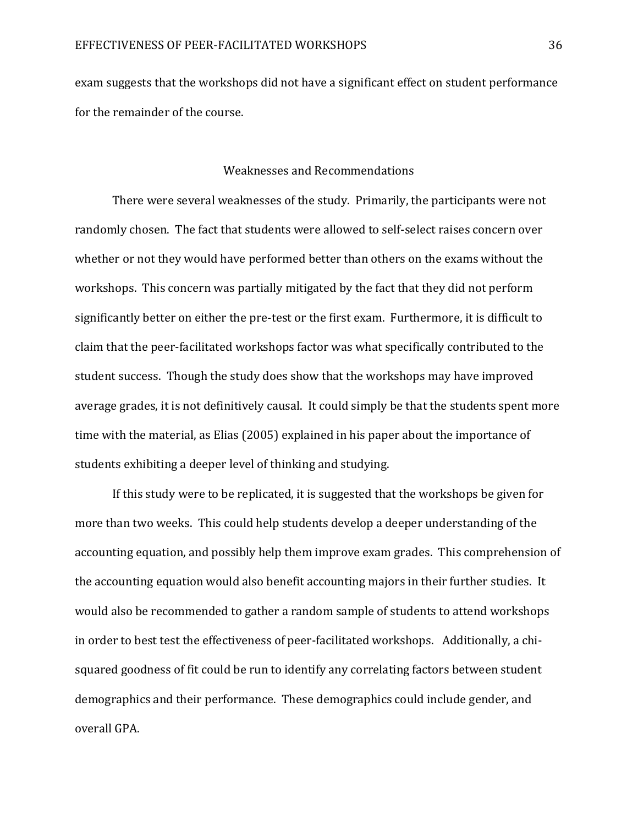exam suggests that the workshops did not have a significant effect on student performance for the remainder of the course.

#### Weaknesses and Recommendations

There were several weaknesses of the study. Primarily, the participants were not randomly chosen. The fact that students were allowed to self-select raises concern over whether or not they would have performed better than others on the exams without the workshops. This concern was partially mitigated by the fact that they did not perform significantly better on either the pre-test or the first exam. Furthermore, it is difficult to claim that the peer-facilitated workshops factor was what specifically contributed to the student success. Though the study does show that the workshops may have improved average grades, it is not definitively causal. It could simply be that the students spent more time with the material, as Elias (2005) explained in his paper about the importance of students exhibiting a deeper level of thinking and studying.

 If this study were to be replicated, it is suggested that the workshops be given for more than two weeks. This could help students develop a deeper understanding of the accounting equation, and possibly help them improve exam grades. This comprehension of the accounting equation would also benefit accounting majors in their further studies. It would also be recommended to gather a random sample of students to attend workshops in order to best test the effectiveness of peer-facilitated workshops. Additionally, a chisquared goodness of fit could be run to identify any correlating factors between student demographics and their performance. These demographics could include gender, and overall GPA.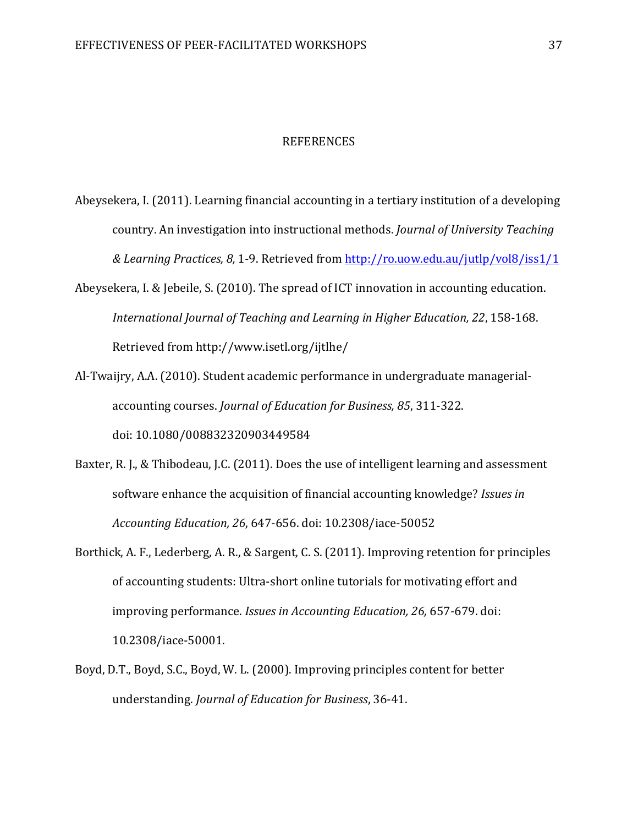#### REFERENCES

- Abeysekera, I. (2011). Learning financial accounting in a tertiary institution of a developing country. An investigation into instructional methods. Journal of University Teaching & Learning Practices, 8, 1-9. Retrieved from http://ro.uow.edu.au/jutlp/vol8/iss1/1
- Abeysekera, I. & Jebeile, S. (2010). The spread of ICT innovation in accounting education. International Journal of Teaching and Learning in Higher Education, 22, 158-168. Retrieved from http://www.isetl.org/ijtlhe/
- Al-Twaijry, A.A. (2010). Student academic performance in undergraduate managerial accounting courses. Journal of Education for Business, 85, 311-322. doi: 10.1080/008832320903449584
- Baxter, R. J., & Thibodeau, J.C. (2011). Does the use of intelligent learning and assessment software enhance the acquisition of financial accounting knowledge? Issues in Accounting Education, 26, 647-656. doi: 10.2308/iace-50052
- Borthick, A. F., Lederberg, A. R., & Sargent, C. S. (2011). Improving retention for principles of accounting students: Ultra-short online tutorials for motivating effort and improving performance. Issues in Accounting Education, 26, 657-679. doi: 10.2308/iace-50001.
- Boyd, D.T., Boyd, S.C., Boyd, W. L. (2000). Improving principles content for better understanding. Journal of Education for Business, 36-41.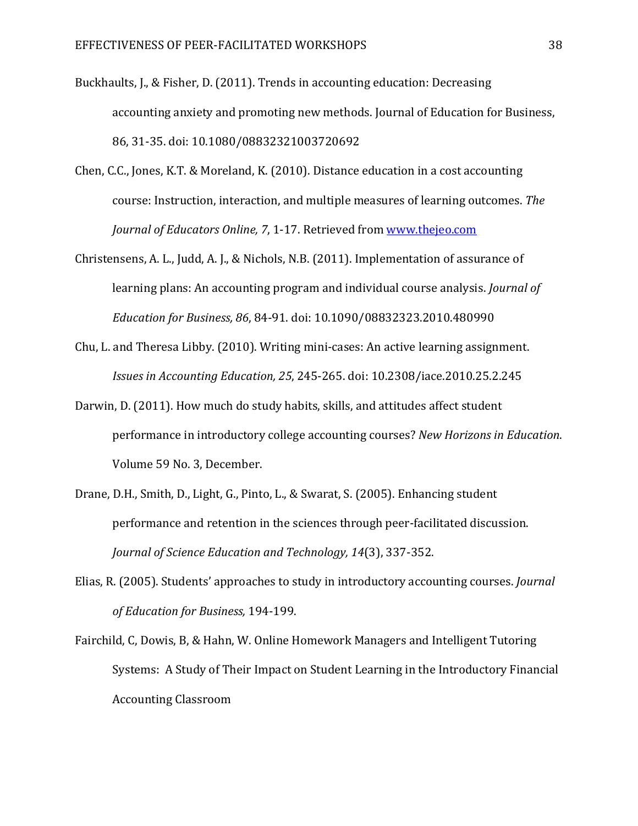- Buckhaults, J., & Fisher, D. (2011). Trends in accounting education: Decreasing accounting anxiety and promoting new methods. Journal of Education for Business, 86, 31-35. doi: 10.1080/08832321003720692
- Chen, C.C., Jones, K.T. & Moreland, K. (2010). Distance education in a cost accounting course: Instruction, interaction, and multiple measures of learning outcomes. The Journal of Educators Online, 7, 1-17. Retrieved from www.thejeo.com
- Christensens, A. L., Judd, A. J., & Nichols, N.B. (2011). Implementation of assurance of learning plans: An accounting program and individual course analysis. Journal of Education for Business, 86, 84-91. doi: 10.1090/08832323.2010.480990
- Chu, L. and Theresa Libby. (2010). Writing mini-cases: An active learning assignment. Issues in Accounting Education, 25, 245-265. doi: 10.2308/iace.2010.25.2.245
- Darwin, D. (2011). How much do study habits, skills, and attitudes affect student performance in introductory college accounting courses? New Horizons in Education. Volume 59 No. 3, December.
- Drane, D.H., Smith, D., Light, G., Pinto, L., & Swarat, S. (2005). Enhancing student performance and retention in the sciences through peer-facilitated discussion. Journal of Science Education and Technology, 14(3), 337-352.
- Elias, R. (2005). Students' approaches to study in introductory accounting courses. Journal of Education for Business, 194-199.
- Fairchild, C, Dowis, B, & Hahn, W. Online Homework Managers and Intelligent Tutoring Systems: A Study of Their Impact on Student Learning in the Introductory Financial Accounting Classroom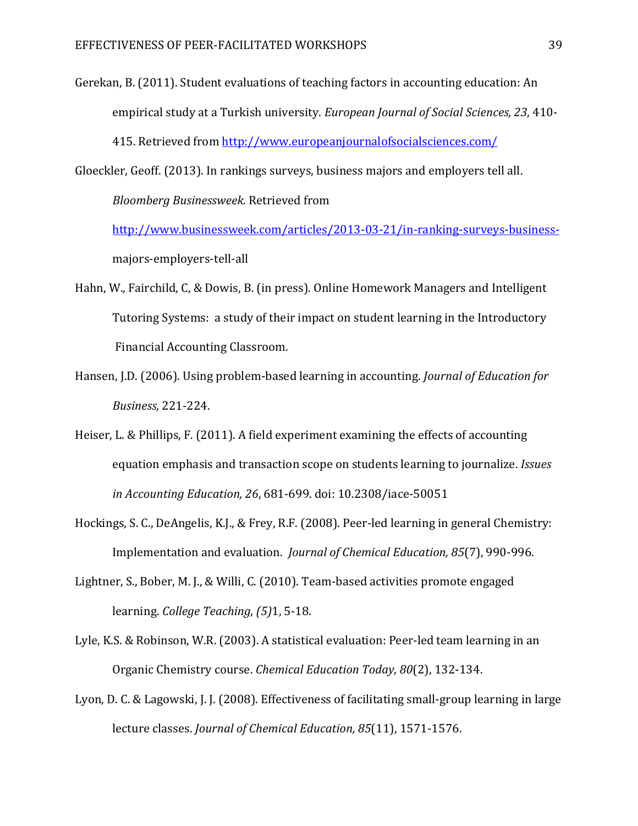- Gerekan, B. (2011). Student evaluations of teaching factors in accounting education: An empirical study at a Turkish university. European Journal of Social Sciences, 23, 410- 415. Retrieved from http://www.europeanjournalofsocialsciences.com/
- Gloeckler, Geoff. (2013). In rankings surveys, business majors and employers tell all.

Bloomberg Businessweek. Retrieved from

http://www.businessweek.com/articles/2013-03-21/in-ranking-surveys-business majors-employers-tell-all

- Hahn, W., Fairchild, C, & Dowis, B. (in press). Online Homework Managers and Intelligent Tutoring Systems: a study of their impact on student learning in the Introductory Financial Accounting Classroom.
- Hansen, J.D. (2006). Using problem-based learning in accounting. Journal of Education for Business, 221-224.
- Heiser, L. & Phillips, F. (2011). A field experiment examining the effects of accounting equation emphasis and transaction scope on students learning to journalize. Issues in Accounting Education, 26, 681-699. doi: 10.2308/iace-50051
- Hockings, S. C., DeAngelis, K.J., & Frey, R.F. (2008). Peer-led learning in general Chemistry: Implementation and evaluation. Journal of Chemical Education, 85(7), 990-996.
- Lightner, S., Bober, M. J., & Willi, C. (2010). Team-based activities promote engaged learning. College Teaching, (5)1, 5-18.
- Lyle, K.S. & Robinson, W.R. (2003). A statistical evaluation: Peer-led team learning in an Organic Chemistry course. Chemical Education Today, 80(2), 132-134.
- Lyon, D. C. & Lagowski, J. J. (2008). Effectiveness of facilitating small-group learning in large lecture classes. Journal of Chemical Education, 85(11), 1571-1576.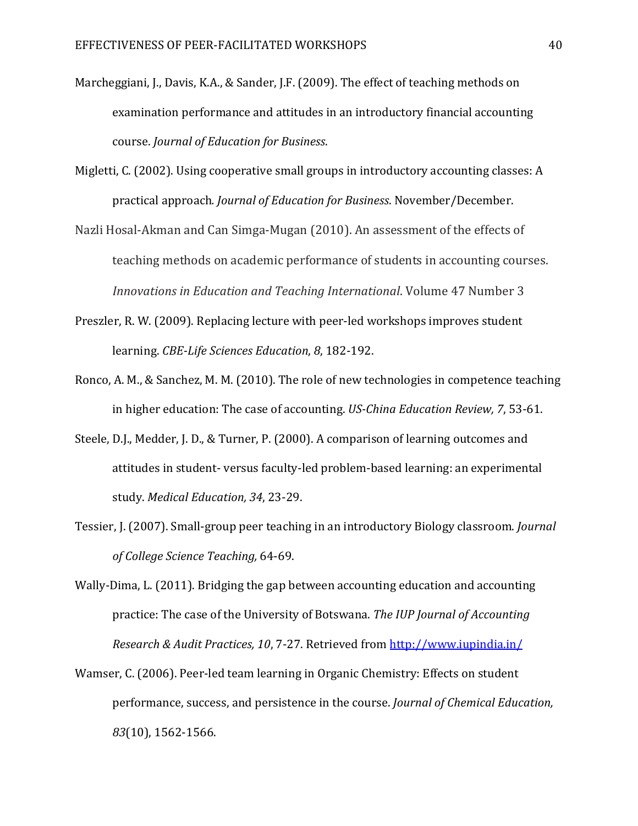- Marcheggiani, J., Davis, K.A., & Sander, J.F. (2009). The effect of teaching methods on examination performance and attitudes in an introductory financial accounting course. Journal of Education for Business.
- Migletti, C. (2002). Using cooperative small groups in introductory accounting classes: A practical approach. Journal of Education for Business. November/December.
- Nazli Hosal-Akman and Can Simga-Mugan (2010). An assessment of the effects of teaching methods on academic performance of students in accounting courses. Innovations in Education and Teaching International. Volume 47 Number 3
- Preszler, R. W. (2009). Replacing lecture with peer-led workshops improves student learning. CBE-Life Sciences Education, 8, 182-192.
- Ronco, A. M., & Sanchez, M. M. (2010). The role of new technologies in competence teaching in higher education: The case of accounting. US-China Education Review, 7, 53-61.
- Steele, D.J., Medder, J. D., & Turner, P. (2000). A comparison of learning outcomes and attitudes in student- versus faculty-led problem-based learning: an experimental study. Medical Education, 34, 23-29.
- Tessier, J. (2007). Small-group peer teaching in an introductory Biology classroom. Journal of College Science Teaching, 64-69.
- Wally-Dima, L. (2011). Bridging the gap between accounting education and accounting practice: The case of the University of Botswana. The IUP Journal of Accounting Research & Audit Practices, 10, 7-27. Retrieved from http://www.iupindia.in/
- Wamser, C. (2006). Peer-led team learning in Organic Chemistry: Effects on student performance, success, and persistence in the course. Journal of Chemical Education, 83(10), 1562-1566.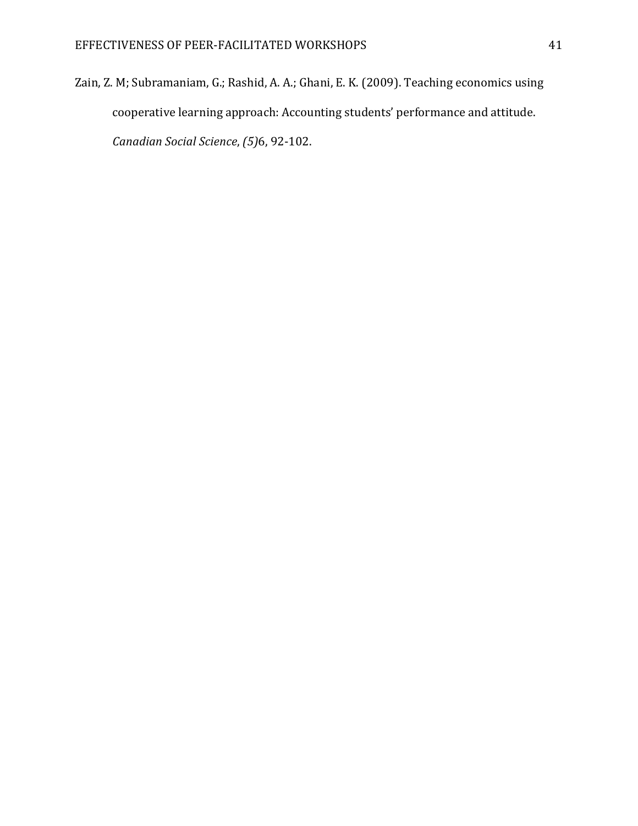Zain, Z. M; Subramaniam, G.; Rashid, A. A.; Ghani, E. K. (2009). Teaching economics using cooperative learning approach: Accounting students' performance and attitude. Canadian Social Science, (5)6, 92-102.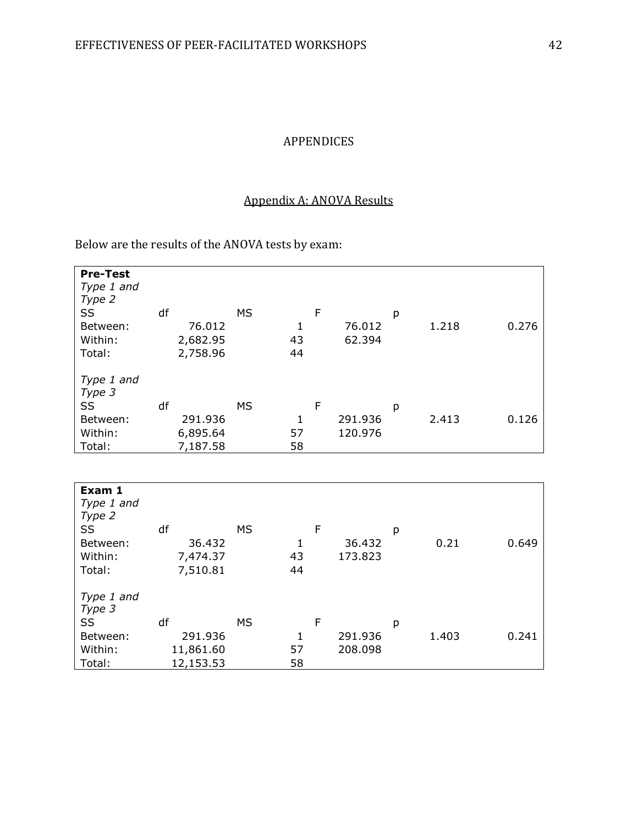# APPENDICES

### Appendix A: ANOVA Results

Below are the results of the ANOVA tests by exam:

| <b>Pre-Test</b><br>Type 1 and<br>Type 2<br>SS<br>Between:<br>Within:<br>Total: | df | 76.012<br>2,682.95<br>2,758.96 | <b>MS</b> | 1<br>43<br>44 | F | 76.012<br>62.394 | р | 1.218 | 0.276 |
|--------------------------------------------------------------------------------|----|--------------------------------|-----------|---------------|---|------------------|---|-------|-------|
| Type 1 and<br>Type 3                                                           |    |                                |           |               |   |                  |   |       |       |
| SS                                                                             | df |                                | <b>MS</b> |               | F |                  | р |       |       |
| Between:                                                                       |    | 291.936                        |           | 1             |   | 291.936          |   | 2.413 | 0.126 |
| Within:                                                                        |    | 6,895.64                       |           | 57            |   | 120.976          |   |       |       |
| Total:                                                                         |    | 7,187.58                       |           | 58            |   |                  |   |       |       |

| Exam 1<br>Type 1 and<br>Type 2<br>SS<br>Between: | df<br>36.432 | <b>MS</b> |    | F       | р     | 0.649 |
|--------------------------------------------------|--------------|-----------|----|---------|-------|-------|
|                                                  |              |           | 1  | 36.432  | 0.21  |       |
| Within:                                          | 7,474.37     |           | 43 | 173.823 |       |       |
| Total:                                           | 7,510.81     |           | 44 |         |       |       |
| Type 1 and<br>Type 3                             |              |           |    |         |       |       |
| SS                                               | df           | <b>MS</b> |    | F       | p     |       |
| Between:                                         | 291.936      |           | 1  | 291.936 | 1.403 | 0.241 |
| Within:                                          | 11,861.60    |           | 57 | 208.098 |       |       |
| Total:                                           | 12,153.53    |           | 58 |         |       |       |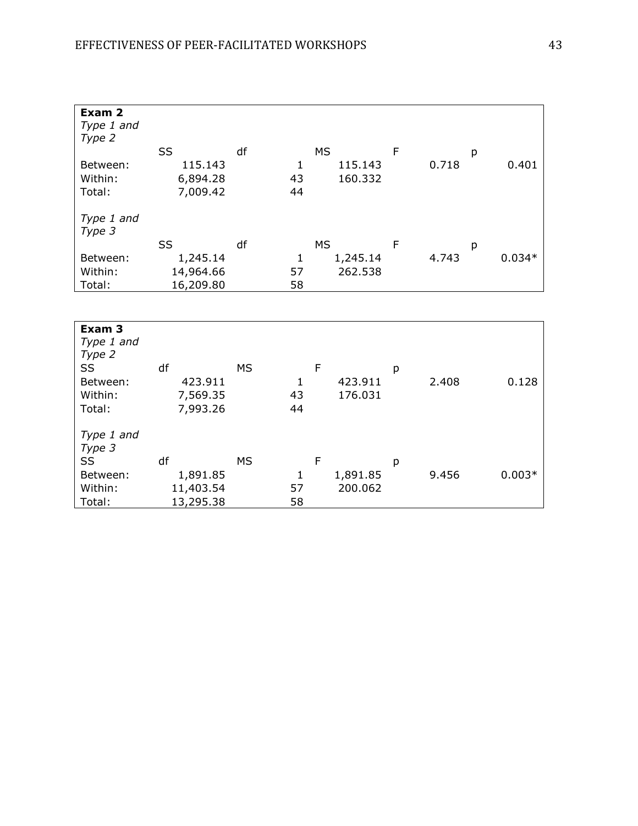| Exam 2<br>Type 1 and<br>Type 2 |           |    |    |           |   |       |   |          |
|--------------------------------|-----------|----|----|-----------|---|-------|---|----------|
|                                | SS        | df |    | MS        | F |       | р |          |
| Between:                       | 115.143   |    | 1  | 115.143   |   | 0.718 |   | 0.401    |
| Within:                        | 6,894.28  |    | 43 | 160.332   |   |       |   |          |
| Total:                         | 7,009.42  |    | 44 |           |   |       |   |          |
| Type 1 and<br>Type 3           |           |    |    |           |   |       |   |          |
|                                |           |    |    |           |   |       |   |          |
|                                | SS        | df |    | <b>MS</b> | F |       | р |          |
| Between:                       | 1,245.14  |    | 1  | 1,245.14  |   | 4.743 |   | $0.034*$ |
| Within:                        | 14,964.66 |    | 57 | 262.538   |   |       |   |          |
| Total:                         | 16,209.80 |    | 58 |           |   |       |   |          |

| Exam 3<br>Type 1 and<br>Type 2<br>SS<br>Between:<br>Within:<br>Total: | df<br>423.911<br>7,569.35<br>7,993.26 | <b>MS</b> | 1<br>43<br>44 | F | 423.911<br>176.031 | р | 2.408 | 0.128    |
|-----------------------------------------------------------------------|---------------------------------------|-----------|---------------|---|--------------------|---|-------|----------|
| Type 1 and<br>Type 3                                                  |                                       |           |               |   |                    |   |       |          |
| SS                                                                    | df                                    | <b>MS</b> |               | F |                    | p |       |          |
| Between:                                                              | 1,891.85                              |           | 1             |   | 1,891.85           |   | 9.456 | $0.003*$ |
| Within:                                                               | 11,403.54                             |           | 57            |   | 200.062            |   |       |          |
| Total:                                                                | 13,295.38                             |           | 58            |   |                    |   |       |          |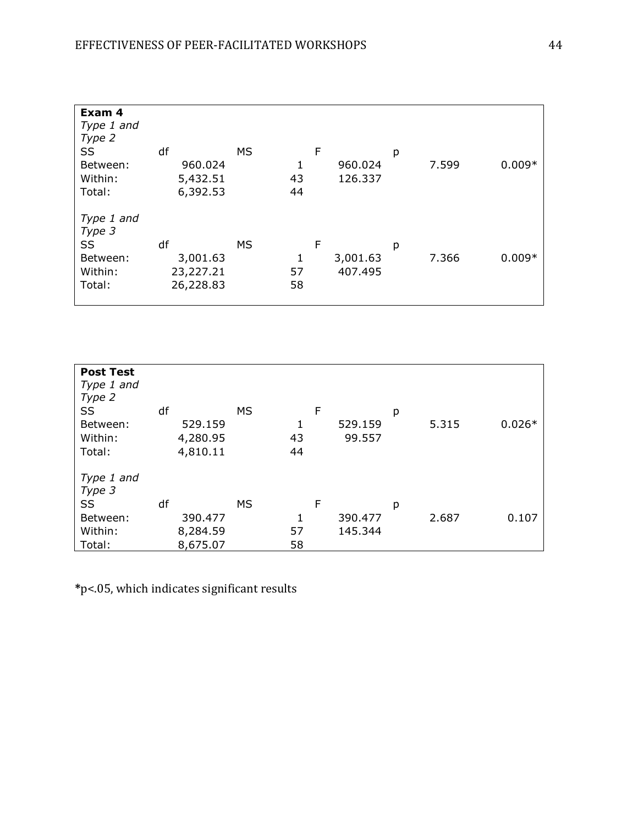| Exam 4<br>Type 1 and<br>Type 2<br>SS<br>Between:<br>Within:<br>Total: | df<br>960.024<br>5,432.51<br>6,392.53    | MS | 1<br>43<br>44 | F | 960.024<br>126.337  | р | 7.599 | $0.009*$ |
|-----------------------------------------------------------------------|------------------------------------------|----|---------------|---|---------------------|---|-------|----------|
| Type 1 and<br>Type 3<br><b>SS</b><br>Between:<br>Within:<br>Total:    | df<br>3,001.63<br>23,227.21<br>26,228.83 | MS | 1<br>57<br>58 | F | 3,001.63<br>407.495 | р | 7.366 | $0.009*$ |

| <b>Post Test</b><br>Type 1 and<br>Type 2 |    |                                 |           |               |   |                   |   |       |          |
|------------------------------------------|----|---------------------------------|-----------|---------------|---|-------------------|---|-------|----------|
| SS<br>Between:<br>Within:<br>Total:      | df | 529.159<br>4,280.95<br>4,810.11 | <b>MS</b> | 1<br>43<br>44 | F | 529.159<br>99.557 | р | 5.315 | $0.026*$ |
| Type 1 and<br>Type 3                     |    |                                 |           |               |   |                   |   |       |          |
| SS                                       | df |                                 | <b>MS</b> |               | F |                   | р |       |          |
| Between:                                 |    | 390.477                         |           | 1             |   | 390.477           |   | 2.687 | 0.107    |
| Within:                                  |    | 8,284.59                        |           | 57            |   | 145.344           |   |       |          |
| Total:                                   |    | 8,675.07                        |           | 58            |   |                   |   |       |          |

\*p<.05, which indicates significant results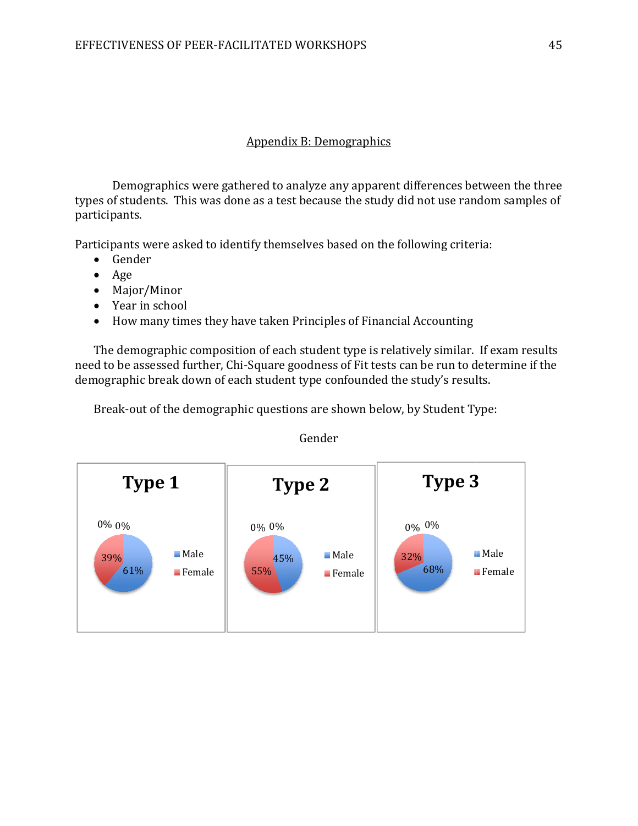# FACILITATED WORKSHOPS<br>Дрений В: Demographics<br>Дррений В: Demographics

Demographics were gathered to analyze any apparent differences between the three types of students. This was done as a test because the study did not use random samples of participants. ences between the three<br>t use random samples of<br>ing criteria:<br>counting<br>similar. If exam results<br>e run to determine if the

Participants were asked to identify themselves based on the following criteria:

- Gender
- Age
- Major/Minor
- Year in school
- How many times they have taken Principles of Financial Accounting

The demographic composition of each student type is relatively similar. If exam results need to be assessed further, Chi-Square goodness of Fit tests can be run to determine if the demographic break down of each student type confounded the study's results.

Break-out of the demographic questions are shown below, by Student Type:<br>Gender

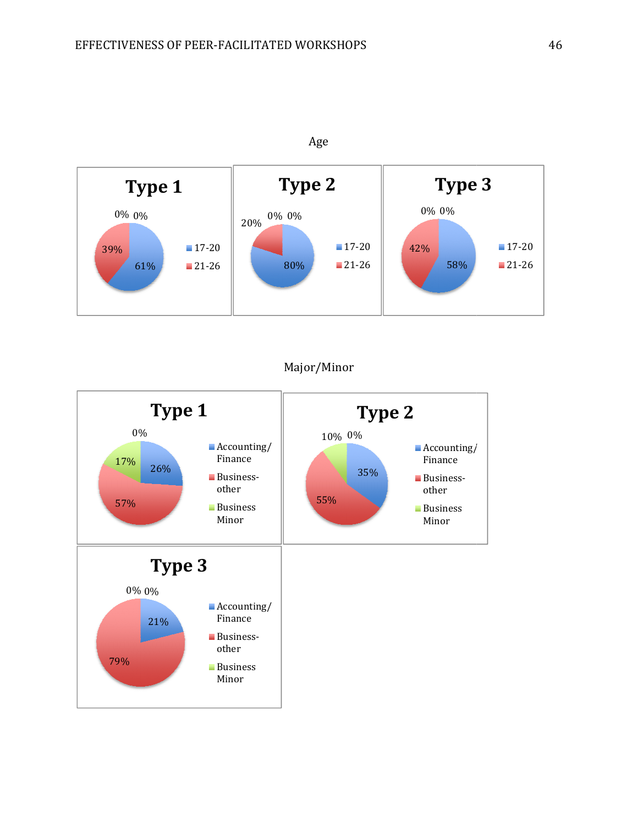

# Major/Minor